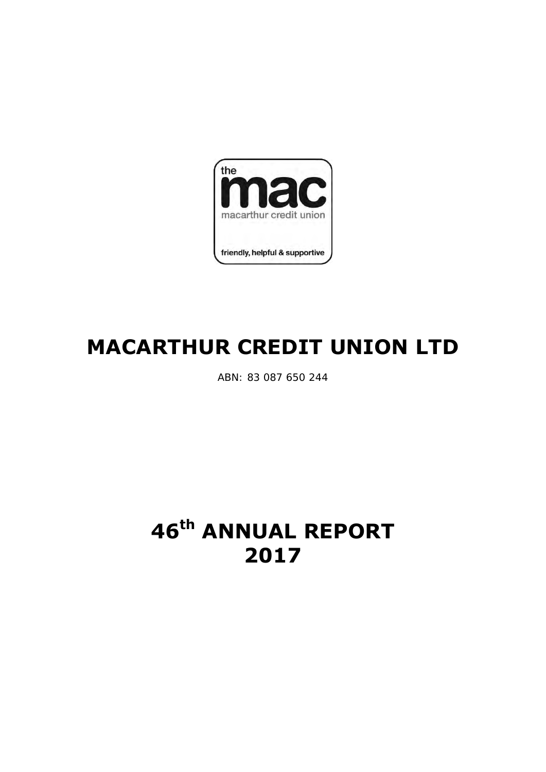

# **MACARTHUR CREDIT UNION LTD**

ABN: 83 087 650 244

# **46th ANNUAL REPORT 2017**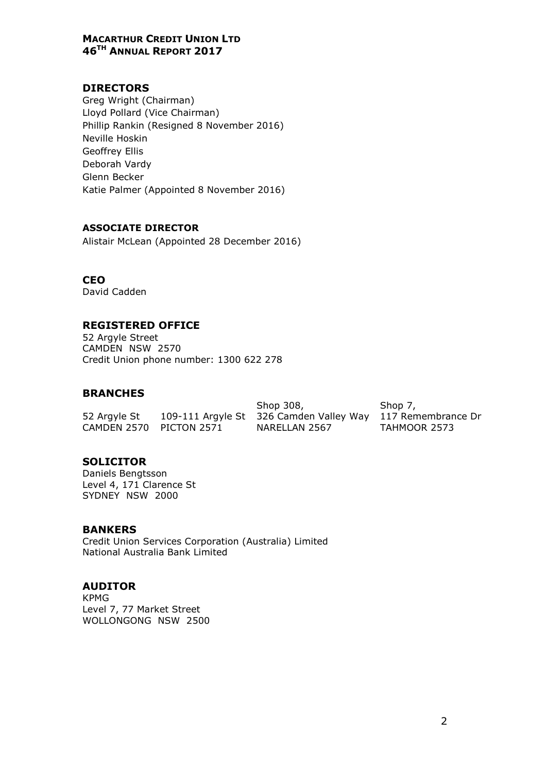# DIRECTORS

Greg Wright (Chairman) Lloyd Pollard (Vice Chairman) Phillip Rankin (Resigned 8 November 2016) Neville Hoskin Geoffrey Ellis Deborah Vardy Glenn Becker Katie Palmer (Appointed 8 November 2016)

#### ASSOCIATE DIRECTOR

Alistair McLean (Appointed 28 December 2016)

#### **CEO**

David Cadden

# REGISTERED OFFICE

52 Argyle Street CAMDEN NSW 2570 Credit Union phone number: 1300 622 278

#### BRANCHES

52 Argyle St 109-111 Argyle St 326 Camden Valley Way 117 Remembrance Dr Shop 308, Shop 7, CAMDEN 2570 PICTON 2571 NARELLAN 2567 TAHMOOR 2573

# **SOLICITOR**

Daniels Bengtsson Level 4, 171 Clarence St SYDNEY NSW 2000

#### BANKERS

Credit Union Services Corporation (Australia) Limited National Australia Bank Limited

# AUDITOR

KPMG Level 7, 77 Market Street WOLLONGONG NSW 2500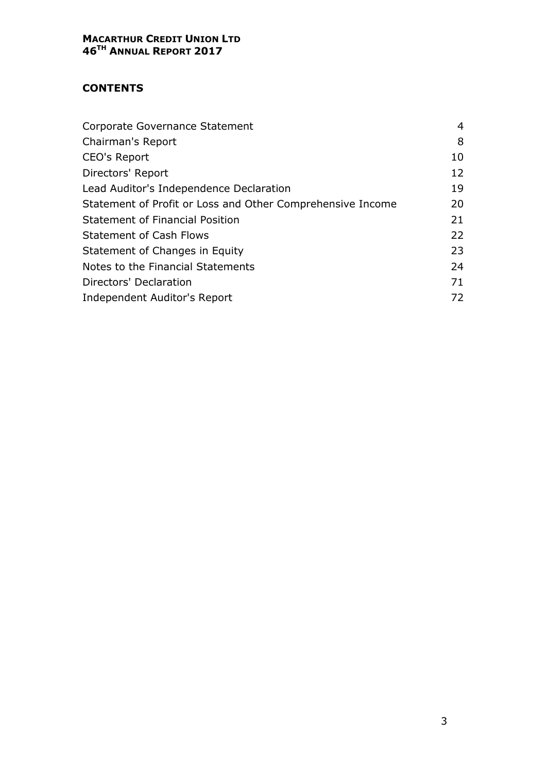# **CONTENTS**

| Corporate Governance Statement                             | 4  |
|------------------------------------------------------------|----|
| Chairman's Report                                          | 8  |
| <b>CEO's Report</b>                                        | 10 |
| Directors' Report                                          | 12 |
| Lead Auditor's Independence Declaration                    | 19 |
| Statement of Profit or Loss and Other Comprehensive Income | 20 |
| <b>Statement of Financial Position</b>                     | 21 |
| <b>Statement of Cash Flows</b>                             | 22 |
| Statement of Changes in Equity                             | 23 |
| Notes to the Financial Statements                          | 24 |
| Directors' Declaration                                     | 71 |
| Independent Auditor's Report                               | 72 |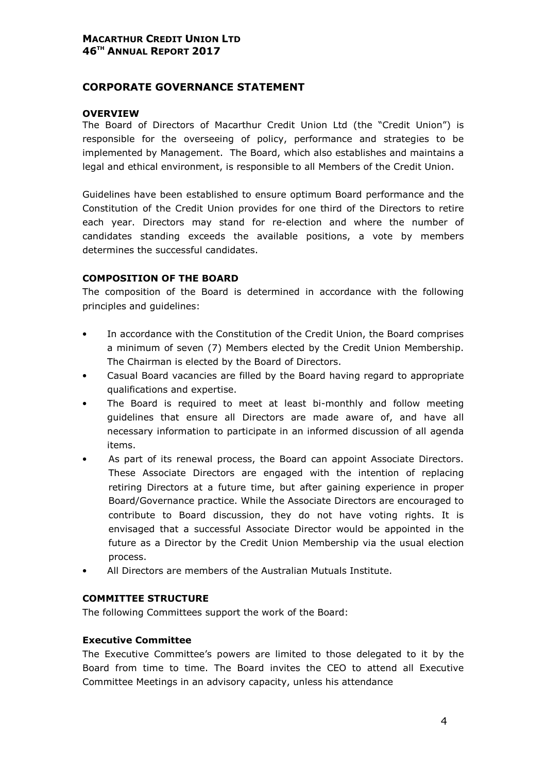# CORPORATE GOVERNANCE STATEMENT

#### **OVERVIEW**

The Board of Directors of Macarthur Credit Union Ltd (the "Credit Union") is responsible for the overseeing of policy, performance and strategies to be implemented by Management. The Board, which also establishes and maintains a legal and ethical environment, is responsible to all Members of the Credit Union.

Guidelines have been established to ensure optimum Board performance and the Constitution of the Credit Union provides for one third of the Directors to retire each year. Directors may stand for re-election and where the number of candidates standing exceeds the available positions, a vote by members determines the successful candidates.

#### COMPOSITION OF THE BOARD

The composition of the Board is determined in accordance with the following principles and guidelines:

- In accordance with the Constitution of the Credit Union, the Board comprises a minimum of seven (7) Members elected by the Credit Union Membership. The Chairman is elected by the Board of Directors.
- Casual Board vacancies are filled by the Board having regard to appropriate qualifications and expertise.
- The Board is required to meet at least bi-monthly and follow meeting guidelines that ensure all Directors are made aware of, and have all necessary information to participate in an informed discussion of all agenda items.
- As part of its renewal process, the Board can appoint Associate Directors. These Associate Directors are engaged with the intention of replacing retiring Directors at a future time, but after gaining experience in proper Board/Governance practice. While the Associate Directors are encouraged to contribute to Board discussion, they do not have voting rights. It is envisaged that a successful Associate Director would be appointed in the future as a Director by the Credit Union Membership via the usual election process.
- All Directors are members of the Australian Mutuals Institute.

#### COMMITTEE STRUCTURE

The following Committees support the work of the Board:

#### Executive Committee

The Executive Committee's powers are limited to those delegated to it by the Board from time to time. The Board invites the CEO to attend all Executive Committee Meetings in an advisory capacity, unless his attendance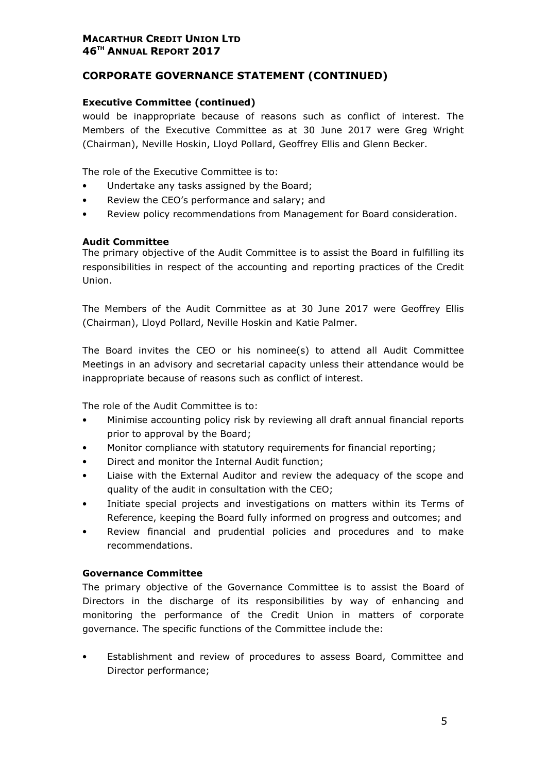# CORPORATE GOVERNANCE STATEMENT (CONTINUED)

#### Executive Committee (continued)

would be inappropriate because of reasons such as conflict of interest. The Members of the Executive Committee as at 30 June 2017 were Greg Wright (Chairman), Neville Hoskin, Lloyd Pollard, Geoffrey Ellis and Glenn Becker.

The role of the Executive Committee is to:

- Undertake any tasks assigned by the Board;
- Review the CEO's performance and salary; and
- Review policy recommendations from Management for Board consideration.

#### Audit Committee

The primary objective of the Audit Committee is to assist the Board in fulfilling its responsibilities in respect of the accounting and reporting practices of the Credit Union.

The Members of the Audit Committee as at 30 June 2017 were Geoffrey Ellis (Chairman), Lloyd Pollard, Neville Hoskin and Katie Palmer.

The Board invites the CEO or his nominee(s) to attend all Audit Committee Meetings in an advisory and secretarial capacity unless their attendance would be inappropriate because of reasons such as conflict of interest.

The role of the Audit Committee is to:

- Minimise accounting policy risk by reviewing all draft annual financial reports prior to approval by the Board;
- Monitor compliance with statutory requirements for financial reporting;
- Direct and monitor the Internal Audit function;
- Liaise with the External Auditor and review the adequacy of the scope and quality of the audit in consultation with the CEO;
- Initiate special projects and investigations on matters within its Terms of Reference, keeping the Board fully informed on progress and outcomes; and
- Review financial and prudential policies and procedures and to make recommendations.

#### Governance Committee

The primary objective of the Governance Committee is to assist the Board of Directors in the discharge of its responsibilities by way of enhancing and monitoring the performance of the Credit Union in matters of corporate governance. The specific functions of the Committee include the:

• Establishment and review of procedures to assess Board, Committee and Director performance;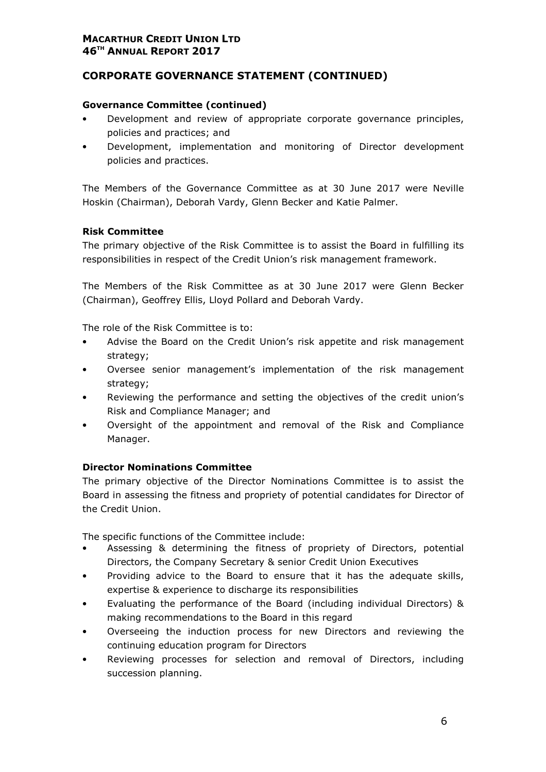# CORPORATE GOVERNANCE STATEMENT (CONTINUED)

#### Governance Committee (continued)

- Development and review of appropriate corporate governance principles, policies and practices; and
- Development, implementation and monitoring of Director development policies and practices.

The Members of the Governance Committee as at 30 June 2017 were Neville Hoskin (Chairman), Deborah Vardy, Glenn Becker and Katie Palmer.

#### Risk Committee

The primary objective of the Risk Committee is to assist the Board in fulfilling its responsibilities in respect of the Credit Union's risk management framework.

The Members of the Risk Committee as at 30 June 2017 were Glenn Becker (Chairman), Geoffrey Ellis, Lloyd Pollard and Deborah Vardy.

The role of the Risk Committee is to:

- Advise the Board on the Credit Union's risk appetite and risk management strategy;
- Oversee senior management's implementation of the risk management strategy;
- Reviewing the performance and setting the objectives of the credit union's Risk and Compliance Manager; and
- Oversight of the appointment and removal of the Risk and Compliance Manager.

#### Director Nominations Committee

The primary objective of the Director Nominations Committee is to assist the Board in assessing the fitness and propriety of potential candidates for Director of the Credit Union.

The specific functions of the Committee include:

- Assessing & determining the fitness of propriety of Directors, potential Directors, the Company Secretary & senior Credit Union Executives
- Providing advice to the Board to ensure that it has the adequate skills, expertise & experience to discharge its responsibilities
- Evaluating the performance of the Board (including individual Directors) & making recommendations to the Board in this regard
- Overseeing the induction process for new Directors and reviewing the continuing education program for Directors
- Reviewing processes for selection and removal of Directors, including succession planning.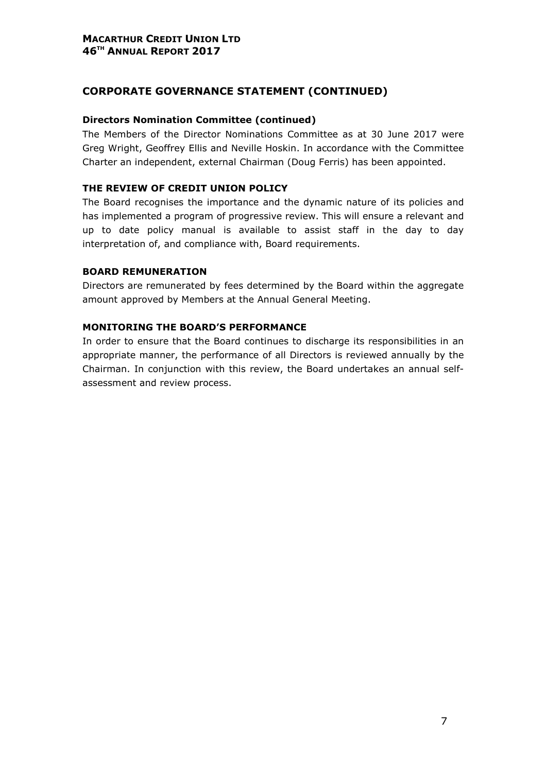# CORPORATE GOVERNANCE STATEMENT (CONTINUED)

#### Directors Nomination Committee (continued)

The Members of the Director Nominations Committee as at 30 June 2017 were Greg Wright, Geoffrey Ellis and Neville Hoskin. In accordance with the Committee Charter an independent, external Chairman (Doug Ferris) has been appointed.

#### THE REVIEW OF CREDIT UNION POLICY

The Board recognises the importance and the dynamic nature of its policies and has implemented a program of progressive review. This will ensure a relevant and up to date policy manual is available to assist staff in the day to day interpretation of, and compliance with, Board requirements.

#### BOARD REMUNERATION

Directors are remunerated by fees determined by the Board within the aggregate amount approved by Members at the Annual General Meeting.

# MONITORING THE BOARD'S PERFORMANCE

In order to ensure that the Board continues to discharge its responsibilities in an appropriate manner, the performance of all Directors is reviewed annually by the Chairman. In conjunction with this review, the Board undertakes an annual selfassessment and review process.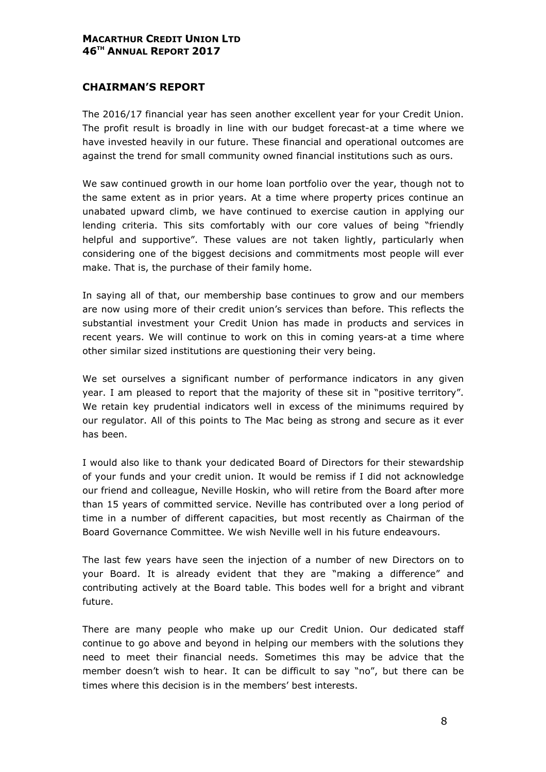# CHAIRMAN'S REPORT

The 2016/17 financial year has seen another excellent year for your Credit Union. The profit result is broadly in line with our budget forecast-at a time where we have invested heavily in our future. These financial and operational outcomes are against the trend for small community owned financial institutions such as ours.

We saw continued growth in our home loan portfolio over the year, though not to the same extent as in prior years. At a time where property prices continue an unabated upward climb, we have continued to exercise caution in applying our lending criteria. This sits comfortably with our core values of being "friendly helpful and supportive". These values are not taken lightly, particularly when considering one of the biggest decisions and commitments most people will ever make. That is, the purchase of their family home.

In saying all of that, our membership base continues to grow and our members are now using more of their credit union's services than before. This reflects the substantial investment your Credit Union has made in products and services in recent years. We will continue to work on this in coming years-at a time where other similar sized institutions are questioning their very being.

We set ourselves a significant number of performance indicators in any given year. I am pleased to report that the majority of these sit in "positive territory". We retain key prudential indicators well in excess of the minimums required by our regulator. All of this points to The Mac being as strong and secure as it ever has been.

I would also like to thank your dedicated Board of Directors for their stewardship of your funds and your credit union. It would be remiss if I did not acknowledge our friend and colleague, Neville Hoskin, who will retire from the Board after more than 15 years of committed service. Neville has contributed over a long period of time in a number of different capacities, but most recently as Chairman of the Board Governance Committee. We wish Neville well in his future endeavours.

The last few years have seen the injection of a number of new Directors on to your Board. It is already evident that they are "making a difference" and contributing actively at the Board table. This bodes well for a bright and vibrant future.

There are many people who make up our Credit Union. Our dedicated staff continue to go above and beyond in helping our members with the solutions they need to meet their financial needs. Sometimes this may be advice that the member doesn't wish to hear. It can be difficult to say "no", but there can be times where this decision is in the members' best interests.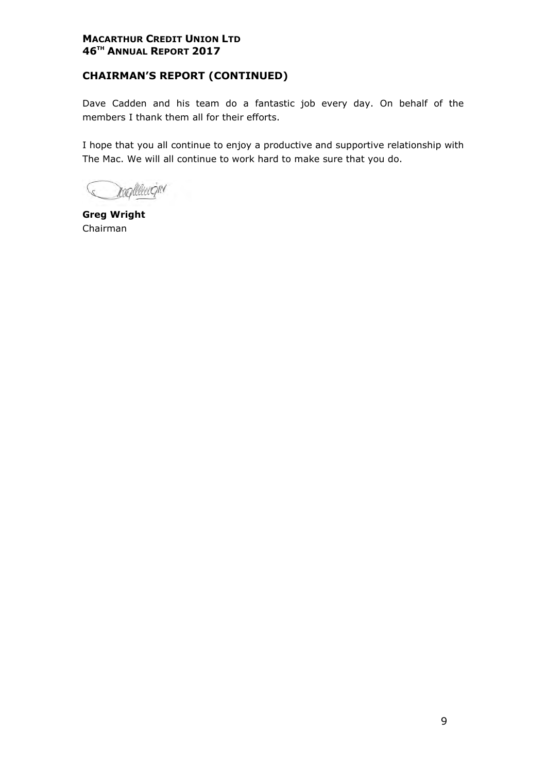# CHAIRMAN'S REPORT (CONTINUED)

Dave Cadden and his team do a fantastic job every day. On behalf of the members I thank them all for their efforts.

I hope that you all continue to enjoy a productive and supportive relationship with The Mac. We will all continue to work hard to make sure that you do.

resplace gro

Greg Wright Chairman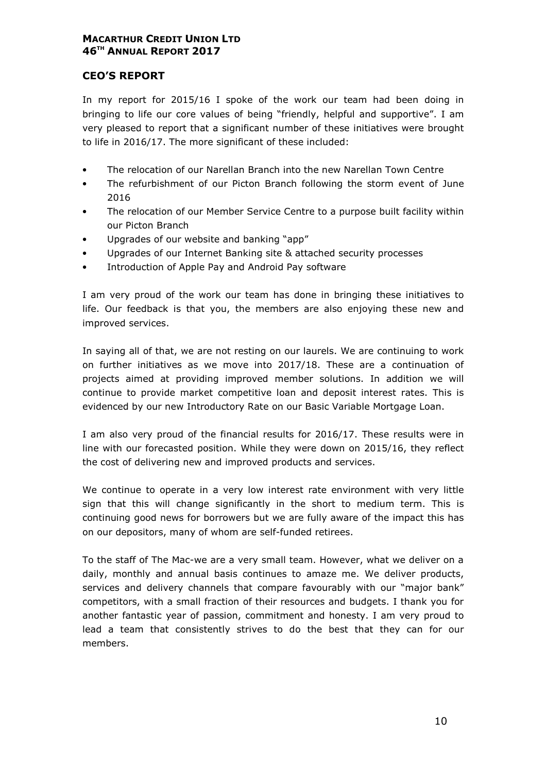# CEO'S REPORT

In my report for 2015/16 I spoke of the work our team had been doing in bringing to life our core values of being "friendly, helpful and supportive". I am very pleased to report that a significant number of these initiatives were brought to life in 2016/17. The more significant of these included:

- The relocation of our Narellan Branch into the new Narellan Town Centre
- The refurbishment of our Picton Branch following the storm event of June 2016
- The relocation of our Member Service Centre to a purpose built facility within our Picton Branch
- Upgrades of our website and banking "app"
- Upgrades of our Internet Banking site & attached security processes
- Introduction of Apple Pay and Android Pay software

I am very proud of the work our team has done in bringing these initiatives to life. Our feedback is that you, the members are also enjoying these new and improved services.

In saying all of that, we are not resting on our laurels. We are continuing to work on further initiatives as we move into 2017/18. These are a continuation of projects aimed at providing improved member solutions. In addition we will continue to provide market competitive loan and deposit interest rates. This is evidenced by our new Introductory Rate on our Basic Variable Mortgage Loan.

I am also very proud of the financial results for 2016/17. These results were in line with our forecasted position. While they were down on 2015/16, they reflect the cost of delivering new and improved products and services.

We continue to operate in a very low interest rate environment with very little sign that this will change significantly in the short to medium term. This is continuing good news for borrowers but we are fully aware of the impact this has on our depositors, many of whom are self-funded retirees.

To the staff of The Mac-we are a very small team. However, what we deliver on a daily, monthly and annual basis continues to amaze me. We deliver products, services and delivery channels that compare favourably with our "major bank" competitors, with a small fraction of their resources and budgets. I thank you for another fantastic year of passion, commitment and honesty. I am very proud to lead a team that consistently strives to do the best that they can for our members.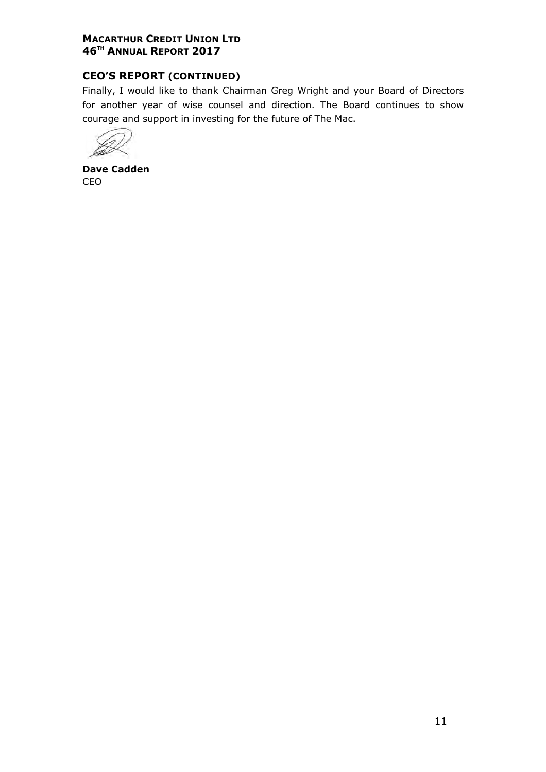# CEO'S REPORT (CONTINUED)

Finally, I would like to thank Chairman Greg Wright and your Board of Directors for another year of wise counsel and direction. The Board continues to show courage and support in investing for the future of The Mac.

Dave Cadden CEO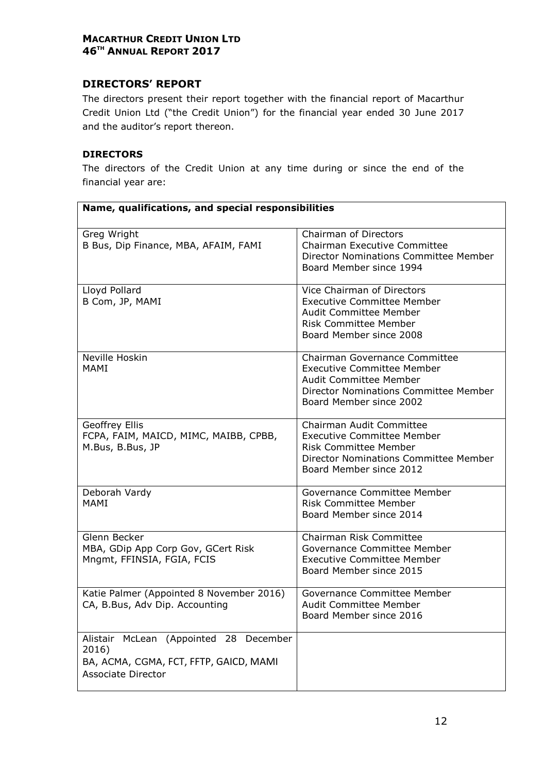# DIRECTORS' REPORT

The directors present their report together with the financial report of Macarthur Credit Union Ltd ("the Credit Union") for the financial year ended 30 June 2017 and the auditor's report thereon.

#### DIRECTORS

The directors of the Credit Union at any time during or since the end of the financial year are:

| Name, qualifications, and special responsibilities                                                                        |                                                                                                                                                                          |
|---------------------------------------------------------------------------------------------------------------------------|--------------------------------------------------------------------------------------------------------------------------------------------------------------------------|
| Greg Wright<br>B Bus, Dip Finance, MBA, AFAIM, FAMI                                                                       | Chairman of Directors<br>Chairman Executive Committee<br><b>Director Nominations Committee Member</b><br>Board Member since 1994                                         |
| Lloyd Pollard<br>B Com, JP, MAMI                                                                                          | Vice Chairman of Directors<br><b>Executive Committee Member</b><br><b>Audit Committee Member</b><br><b>Risk Committee Member</b><br>Board Member since 2008              |
| Neville Hoskin<br>MAMI                                                                                                    | Chairman Governance Committee<br><b>Executive Committee Member</b><br><b>Audit Committee Member</b><br>Director Nominations Committee Member<br>Board Member since 2002  |
| Geoffrey Ellis<br>FCPA, FAIM, MAICD, MIMC, MAIBB, CPBB,<br>M.Bus, B.Bus, JP                                               | Chairman Audit Committee<br><b>Executive Committee Member</b><br><b>Risk Committee Member</b><br><b>Director Nominations Committee Member</b><br>Board Member since 2012 |
| Deborah Vardy<br>MAMI                                                                                                     | Governance Committee Member<br><b>Risk Committee Member</b><br>Board Member since 2014                                                                                   |
| Glenn Becker<br>MBA, GDip App Corp Gov, GCert Risk<br>Mngmt, FFINSIA, FGIA, FCIS                                          | Chairman Risk Committee<br>Governance Committee Member<br><b>Executive Committee Member</b><br>Board Member since 2015                                                   |
| Katie Palmer (Appointed 8 November 2016)<br>CA, B.Bus, Adv Dip. Accounting                                                | Governance Committee Member<br><b>Audit Committee Member</b><br>Board Member since 2016                                                                                  |
| (Appointed 28 December<br>Alistair McLean<br>2016)<br>BA, ACMA, CGMA, FCT, FFTP, GAICD, MAMI<br><b>Associate Director</b> |                                                                                                                                                                          |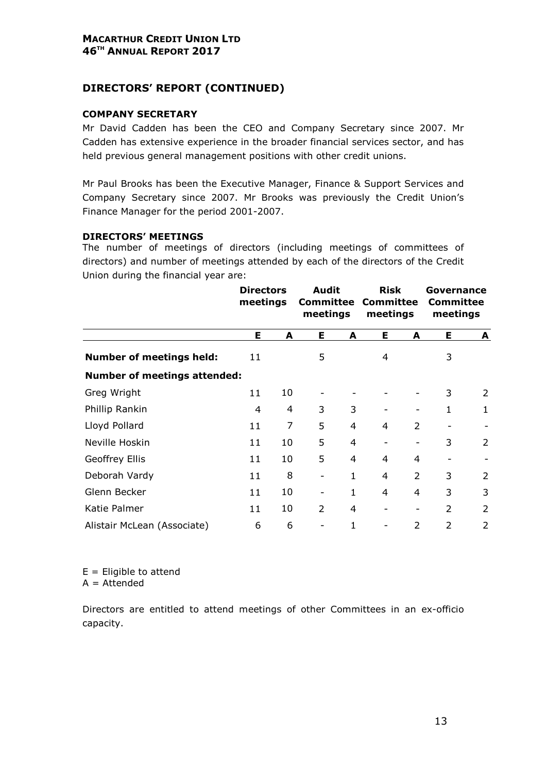# DIRECTORS' REPORT (CONTINUED)

#### COMPANY SECRETARY

Mr David Cadden has been the CEO and Company Secretary since 2007. Mr Cadden has extensive experience in the broader financial services sector, and has held previous general management positions with other credit unions.

Mr Paul Brooks has been the Executive Manager, Finance & Support Services and Company Secretary since 2007. Mr Brooks was previously the Credit Union's Finance Manager for the period 2001-2007.

#### DIRECTORS' MEETINGS

The number of meetings of directors (including meetings of committees of directors) and number of meetings attended by each of the directors of the Credit Union during the financial year are:

|                                     | <b>Directors</b><br>meetings |    | <b>Audit</b><br>Committee<br>meetings |                | <b>Risk</b><br><b>Committee</b><br>meetings |                              | Governance<br><b>Committee</b><br>meetings |                |
|-------------------------------------|------------------------------|----|---------------------------------------|----------------|---------------------------------------------|------------------------------|--------------------------------------------|----------------|
|                                     | Е                            | A  | Е                                     | A              | E                                           | A                            | Е                                          | A              |
| <b>Number of meetings held:</b>     | 11                           |    | 5                                     |                | 4                                           |                              | 3                                          |                |
| <b>Number of meetings attended:</b> |                              |    |                                       |                |                                             |                              |                                            |                |
| Greg Wright                         | 11                           | 10 |                                       |                |                                             |                              | 3                                          | 2              |
| Phillip Rankin                      | 4                            | 4  | 3                                     | 3              |                                             |                              | $\mathbf{1}$                               | $\mathbf{1}$   |
| Lloyd Pollard                       | 11                           | 7  | 5                                     | 4              | 4                                           | $\overline{2}$               |                                            |                |
| Neville Hoskin                      | 11                           | 10 | 5                                     | $\overline{4}$ |                                             |                              | 3                                          | $\overline{2}$ |
| Geoffrey Ellis                      | 11                           | 10 | 5                                     | $\overline{4}$ | 4                                           | 4                            |                                            |                |
| Deborah Vardy                       | 11                           | 8  | $\qquad \qquad \blacksquare$          | $\mathbf{1}$   | 4                                           | $\overline{2}$               | 3                                          | $\overline{2}$ |
| Glenn Becker                        | 11                           | 10 | -                                     | $\mathbf{1}$   | $\overline{4}$                              | 4                            | 3                                          | 3              |
| Katie Palmer                        | 11                           | 10 | $\overline{2}$                        | 4              | -                                           | $\qquad \qquad \blacksquare$ | $\overline{2}$                             | 2              |
| Alistair McLean (Associate)         | 6                            | 6  |                                       | 1              |                                             | $\mathcal{P}$                | $\mathcal{P}$                              | $\mathcal{P}$  |

 $E =$  Eligible to attend

 $A =$ Attended

Directors are entitled to attend meetings of other Committees in an ex-officio capacity.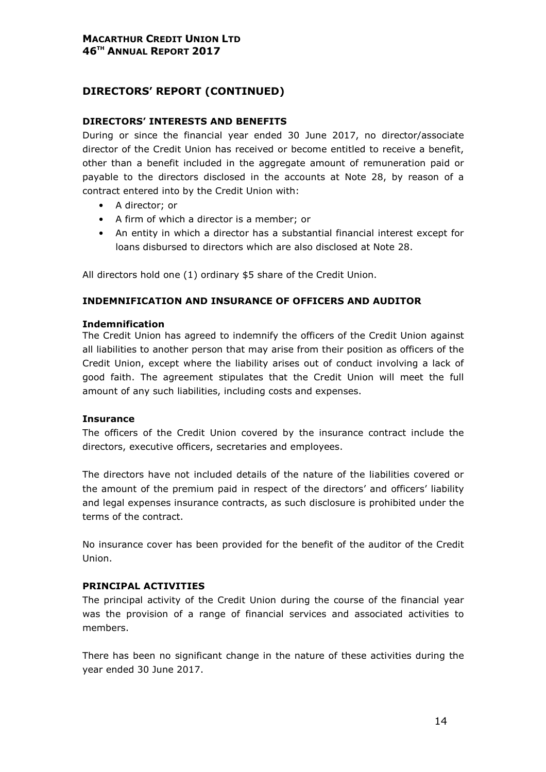# DIRECTORS' REPORT (CONTINUED)

#### DIRECTORS' INTERESTS AND BENEFITS

During or since the financial year ended 30 June 2017, no director/associate director of the Credit Union has received or become entitled to receive a benefit, other than a benefit included in the aggregate amount of remuneration paid or payable to the directors disclosed in the accounts at Note 28, by reason of a contract entered into by the Credit Union with:

- A director; or
- A firm of which a director is a member; or
- An entity in which a director has a substantial financial interest except for loans disbursed to directors which are also disclosed at Note 28.

All directors hold one (1) ordinary \$5 share of the Credit Union.

#### INDEMNIFICATION AND INSURANCE OF OFFICERS AND AUDITOR

#### Indemnification

The Credit Union has agreed to indemnify the officers of the Credit Union against all liabilities to another person that may arise from their position as officers of the Credit Union, except where the liability arises out of conduct involving a lack of good faith. The agreement stipulates that the Credit Union will meet the full amount of any such liabilities, including costs and expenses.

#### **Insurance**

The officers of the Credit Union covered by the insurance contract include the directors, executive officers, secretaries and employees.

The directors have not included details of the nature of the liabilities covered or the amount of the premium paid in respect of the directors' and officers' liability and legal expenses insurance contracts, as such disclosure is prohibited under the terms of the contract.

No insurance cover has been provided for the benefit of the auditor of the Credit Union.

#### PRINCIPAL ACTIVITIES

The principal activity of the Credit Union during the course of the financial year was the provision of a range of financial services and associated activities to members.

There has been no significant change in the nature of these activities during the year ended 30 June 2017.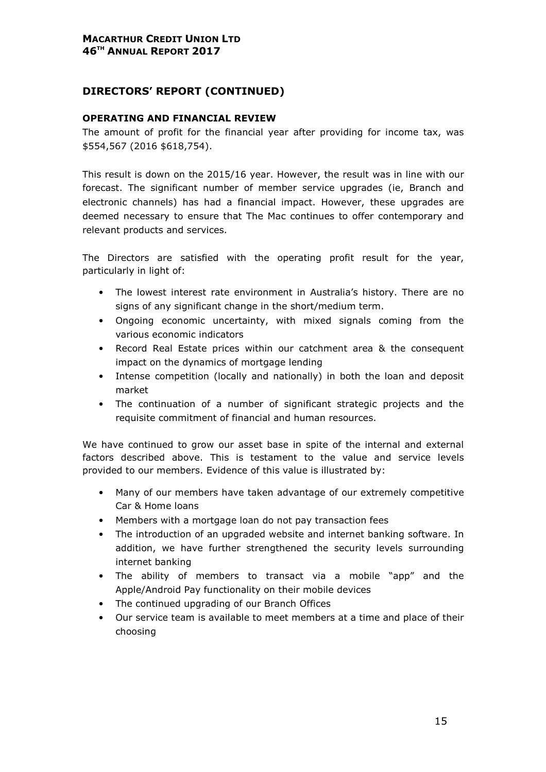# DIRECTORS' REPORT (CONTINUED)

#### OPERATING AND FINANCIAL REVIEW

The amount of profit for the financial year after providing for income tax, was \$554,567 (2016 \$618,754).

This result is down on the 2015/16 year. However, the result was in line with our forecast. The significant number of member service upgrades (ie, Branch and electronic channels) has had a financial impact. However, these upgrades are deemed necessary to ensure that The Mac continues to offer contemporary and relevant products and services.

The Directors are satisfied with the operating profit result for the year, particularly in light of:

- The lowest interest rate environment in Australia's history. There are no signs of any significant change in the short/medium term.
- Ongoing economic uncertainty, with mixed signals coming from the various economic indicators
- Record Real Estate prices within our catchment area & the consequent impact on the dynamics of mortgage lending
- Intense competition (locally and nationally) in both the loan and deposit market
- The continuation of a number of significant strategic projects and the requisite commitment of financial and human resources.

We have continued to grow our asset base in spite of the internal and external factors described above. This is testament to the value and service levels provided to our members. Evidence of this value is illustrated by:

- Many of our members have taken advantage of our extremely competitive Car & Home loans
- Members with a mortgage loan do not pay transaction fees
- The introduction of an upgraded website and internet banking software. In addition, we have further strengthened the security levels surrounding internet banking
- The ability of members to transact via a mobile "app" and the Apple/Android Pay functionality on their mobile devices
- The continued upgrading of our Branch Offices
- Our service team is available to meet members at a time and place of their choosing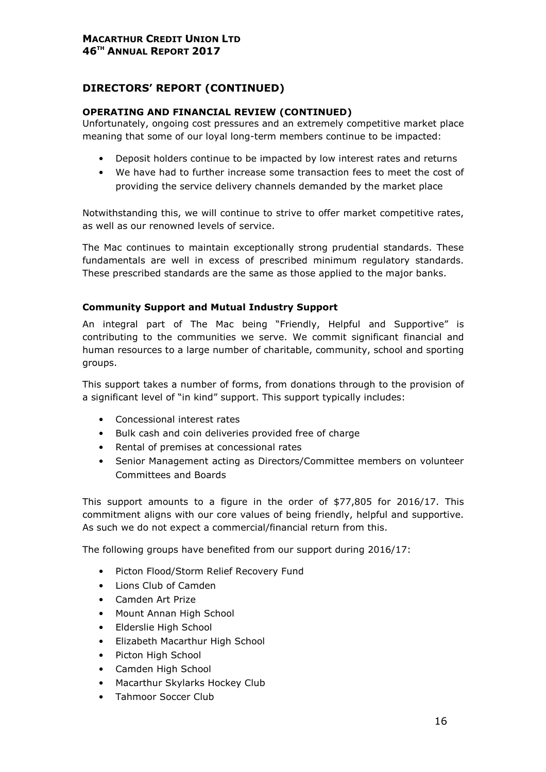# DIRECTORS' REPORT (CONTINUED)

#### OPERATING AND FINANCIAL REVIEW (CONTINUED)

Unfortunately, ongoing cost pressures and an extremely competitive market place meaning that some of our loyal long-term members continue to be impacted:

- Deposit holders continue to be impacted by low interest rates and returns
- We have had to further increase some transaction fees to meet the cost of providing the service delivery channels demanded by the market place

Notwithstanding this, we will continue to strive to offer market competitive rates, as well as our renowned levels of service.

The Mac continues to maintain exceptionally strong prudential standards. These fundamentals are well in excess of prescribed minimum regulatory standards. These prescribed standards are the same as those applied to the major banks.

#### Community Support and Mutual Industry Support

An integral part of The Mac being "Friendly, Helpful and Supportive" is contributing to the communities we serve. We commit significant financial and human resources to a large number of charitable, community, school and sporting groups.

This support takes a number of forms, from donations through to the provision of a significant level of "in kind" support. This support typically includes:

- Concessional interest rates
- Bulk cash and coin deliveries provided free of charge
- Rental of premises at concessional rates
- Senior Management acting as Directors/Committee members on volunteer Committees and Boards

This support amounts to a figure in the order of \$77,805 for 2016/17. This commitment aligns with our core values of being friendly, helpful and supportive. As such we do not expect a commercial/financial return from this.

The following groups have benefited from our support during 2016/17:

- Picton Flood/Storm Relief Recovery Fund
- Lions Club of Camden
- Camden Art Prize
- Mount Annan High School
- Elderslie High School
- Elizabeth Macarthur High School
- Picton High School
- Camden High School
- Macarthur Skylarks Hockey Club
- Tahmoor Soccer Club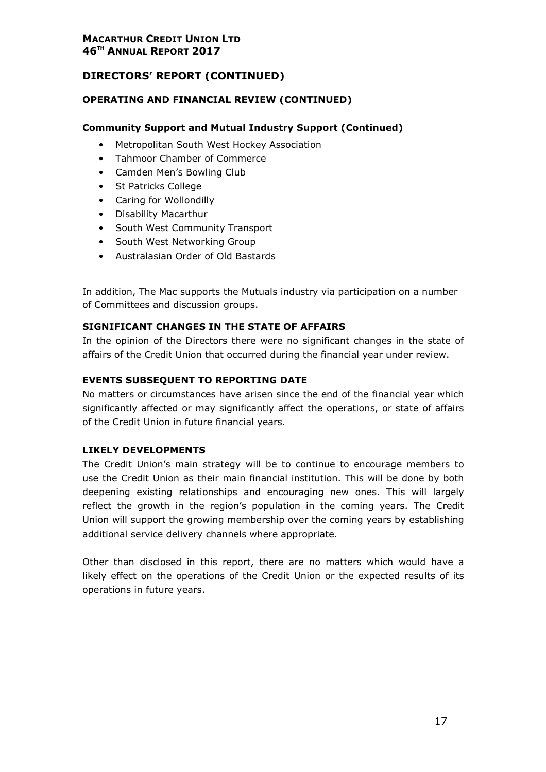# DIRECTORS' REPORT (CONTINUED)

# OPERATING AND FINANCIAL REVIEW (CONTINUED)

# Community Support and Mutual Industry Support (Continued)

- Metropolitan South West Hockey Association
- Tahmoor Chamber of Commerce
- Camden Men's Bowling Club
- St Patricks College
- Caring for Wollondilly
- Disability Macarthur
- South West Community Transport
- South West Networking Group
- Australasian Order of Old Bastards

In addition, The Mac supports the Mutuals industry via participation on a number of Committees and discussion groups.

#### SIGNIFICANT CHANGES IN THE STATE OF AFFAIRS

In the opinion of the Directors there were no significant changes in the state of affairs of the Credit Union that occurred during the financial year under review.

#### EVENTS SUBSEQUENT TO REPORTING DATE

No matters or circumstances have arisen since the end of the financial year which significantly affected or may significantly affect the operations, or state of affairs of the Credit Union in future financial years.

#### LIKELY DEVELOPMENTS

The Credit Union's main strategy will be to continue to encourage members to use the Credit Union as their main financial institution. This will be done by both deepening existing relationships and encouraging new ones. This will largely reflect the growth in the region's population in the coming years. The Credit Union will support the growing membership over the coming years by establishing additional service delivery channels where appropriate.

Other than disclosed in this report, there are no matters which would have a likely effect on the operations of the Credit Union or the expected results of its operations in future years.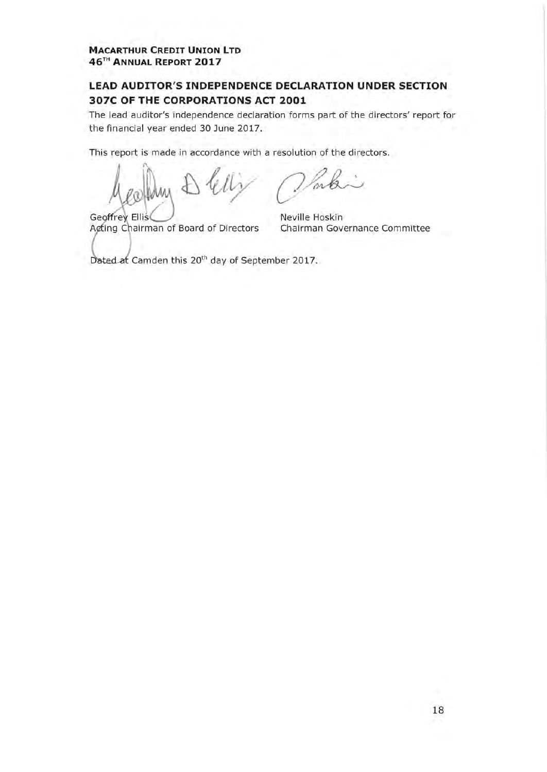# LEAD AUDITOR'S INDEPENDENCE DECLARATION UNDER SECTION 307C OF THE CORPORATIONS ACT 2001

The lead auditor's independence declaration forms part of the directors' report for the financial year ended 30 June 2017.

This report is made in accordance with a resolution of the directors.

Geoffrey Ellis Acting Chairman of Board of Directors

Neville Hoskin Chairman Governance Committee

Dated at Camden this 20<sup>th</sup> day of September 2017.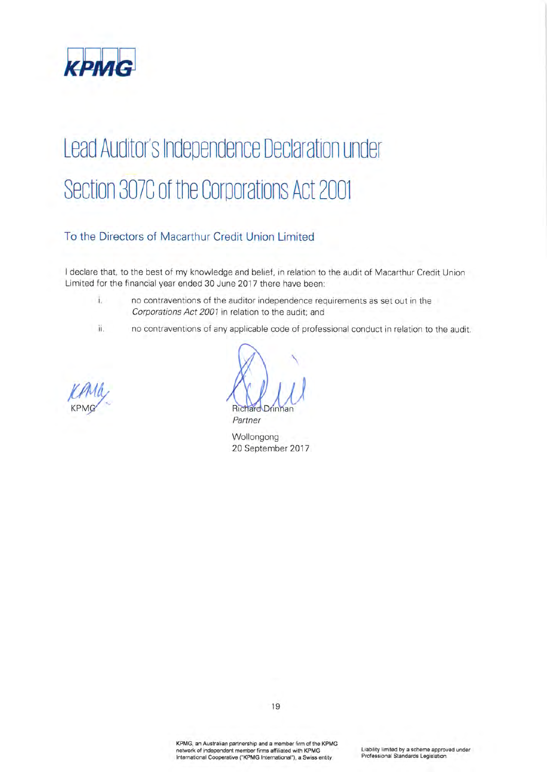

# Lead Auditor's Independence Declaration under Section 307C of the Corporations Act 2001

# To the Directors of Macarthur Credit Union Limited

I declare that, to the best of my knowledge and belief, in relation to the audit of Macarthur Credit Union Limited for the financial year ended 30 June 2017 there have been:

- $\mathbf{L}$ no contraventions of the auditor independence requirements as set out in the Corporations Act 2001 in relation to the audit; and
- ii. no contraventions of any applicable code of professional conduct in relation to the audit.



Richa Partner

Wollongong 20 September 2017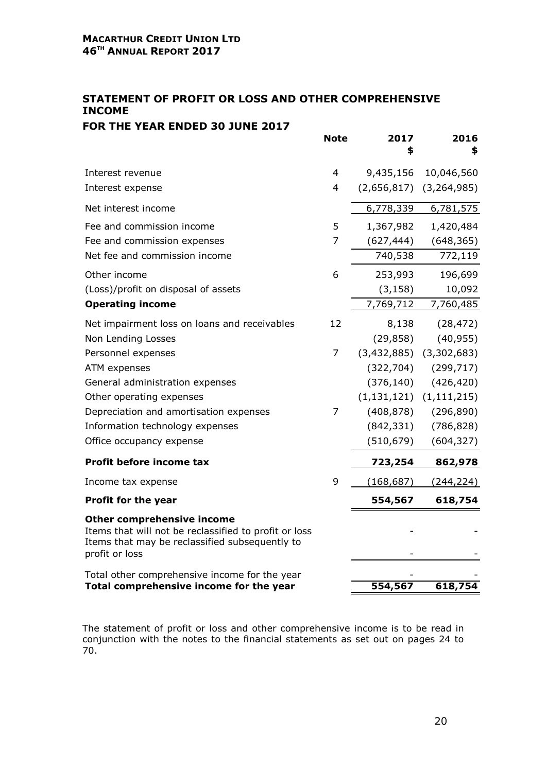# STATEMENT OF PROFIT OR LOSS AND OTHER COMPREHENSIVE INCOME FOR THE YEAR ENDED 30 JUNE 2017

|                                                                                                                                                         | <b>Note</b>    | 2017<br>S      | 2016<br>\$       |
|---------------------------------------------------------------------------------------------------------------------------------------------------------|----------------|----------------|------------------|
| Interest revenue                                                                                                                                        | 4              | 9,435,156      | 10,046,560       |
| Interest expense                                                                                                                                        | 4              | (2,656,817)    | (3, 264, 985)    |
| Net interest income                                                                                                                                     |                | 6,778,339      | 6,781,575        |
| Fee and commission income                                                                                                                               | 5              | 1,367,982      | 1,420,484        |
| Fee and commission expenses                                                                                                                             | $\overline{7}$ | (627, 444)     | (648, 365)       |
| Net fee and commission income                                                                                                                           |                | 740,538        | 772,119          |
| Other income                                                                                                                                            | 6              | 253,993        | 196,699          |
| (Loss)/profit on disposal of assets                                                                                                                     |                | (3, 158)       | 10,092           |
| <b>Operating income</b>                                                                                                                                 |                | 7,769,712      | 7,760,485        |
| Net impairment loss on loans and receivables                                                                                                            | 12             | 8,138          | (28, 472)        |
| Non Lending Losses                                                                                                                                      |                | (29, 858)      | (40, 955)        |
| Personnel expenses                                                                                                                                      | 7              | (3,432,885)    | (3,302,683)      |
| ATM expenses                                                                                                                                            |                | (322, 704)     | (299, 717)       |
| General administration expenses                                                                                                                         |                | (376, 140)     | (426, 420)       |
| Other operating expenses                                                                                                                                |                | (1, 131, 121)  | (1, 111, 215)    |
| Depreciation and amortisation expenses                                                                                                                  | 7              | (408, 878)     | (296, 890)       |
| Information technology expenses                                                                                                                         |                | (842, 331)     | (786, 828)       |
| Office occupancy expense                                                                                                                                |                | (510, 679)     | (604, 327)       |
| Profit before income tax                                                                                                                                |                | <u>723,254</u> | 862,978          |
| Income tax expense                                                                                                                                      | 9              | (168, 687)     | <u>(244,224)</u> |
| Profit for the year                                                                                                                                     |                | 554,567        | 618,754          |
| Other comprehensive income<br>Items that will not be reclassified to profit or loss<br>Items that may be reclassified subsequently to<br>profit or loss |                |                |                  |
| Total other comprehensive income for the year<br>Total comprehensive income for the year                                                                |                | 554,567        | 618,754          |

The statement of profit or loss and other comprehensive income is to be read in conjunction with the notes to the financial statements as set out on pages 24 to 70.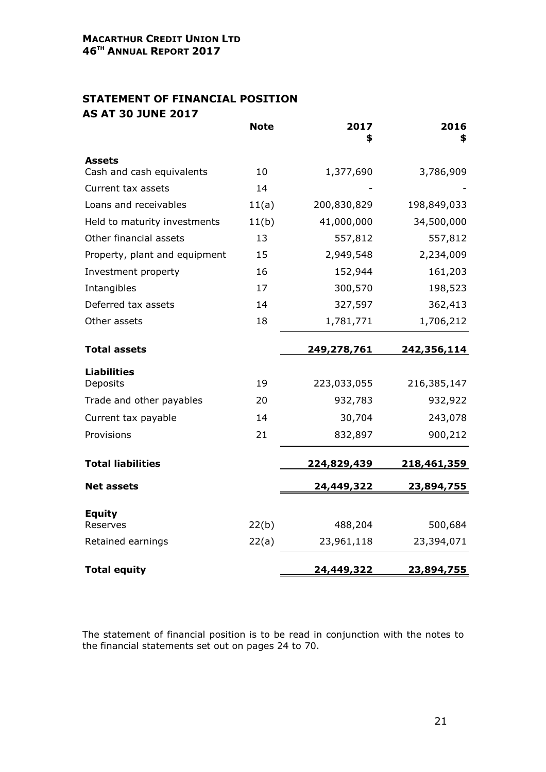# STATEMENT OF FINANCIAL POSITION AS AT 30 JUNE 2017

|                               | <b>Note</b> | 2017<br>\$  | 2016<br>\$  |
|-------------------------------|-------------|-------------|-------------|
| Assets                        |             |             |             |
| Cash and cash equivalents     | 10          | 1,377,690   | 3,786,909   |
| Current tax assets            | 14          |             |             |
| Loans and receivables         | 11(a)       | 200,830,829 | 198,849,033 |
| Held to maturity investments  | 11(b)       | 41,000,000  | 34,500,000  |
| Other financial assets        | 13          | 557,812     | 557,812     |
| Property, plant and equipment | 15          | 2,949,548   | 2,234,009   |
| Investment property           | 16          | 152,944     | 161,203     |
| Intangibles                   | 17          | 300,570     | 198,523     |
| Deferred tax assets           | 14          | 327,597     | 362,413     |
| Other assets                  | 18          | 1,781,771   | 1,706,212   |
| <b>Total assets</b>           |             | 249,278,761 | 242,356,114 |
| <b>Liabilities</b>            |             |             |             |
| Deposits                      | 19          | 223,033,055 | 216,385,147 |
| Trade and other payables      | 20          | 932,783     | 932,922     |
| Current tax payable           | 14          | 30,704      | 243,078     |
| Provisions                    | 21          | 832,897     | 900,212     |
| <b>Total liabilities</b>      |             | 224,829,439 | 218,461,359 |
| <b>Net assets</b>             |             | 24,449,322  | 23,894,755  |
| <b>Equity</b>                 |             |             |             |
| Reserves                      | 22(b)       | 488,204     | 500,684     |
| Retained earnings             | 22(a)       | 23,961,118  | 23,394,071  |
| <b>Total equity</b>           |             | 24,449,322  | 23,894,755  |

The statement of financial position is to be read in conjunction with the notes to the financial statements set out on pages 24 to 70.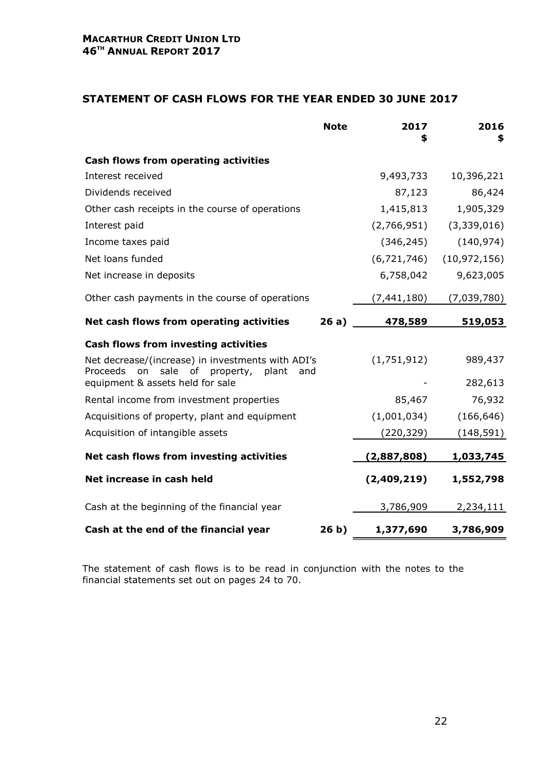## STATEMENT OF CASH FLOWS FOR THE YEAR ENDED 30 JUNE 2017

|                                                                                                       | <b>Note</b>     | 2017<br>\$    | 2016<br>\$     |
|-------------------------------------------------------------------------------------------------------|-----------------|---------------|----------------|
| <b>Cash flows from operating activities</b>                                                           |                 |               |                |
| Interest received                                                                                     |                 | 9,493,733     | 10,396,221     |
| Dividends received                                                                                    |                 | 87,123        | 86,424         |
| Other cash receipts in the course of operations                                                       |                 | 1,415,813     | 1,905,329      |
| Interest paid                                                                                         |                 | (2,766,951)   | (3,339,016)    |
| Income taxes paid                                                                                     |                 | (346, 245)    | (140, 974)     |
| Net loans funded                                                                                      |                 | (6, 721, 746) | (10, 972, 156) |
| Net increase in deposits                                                                              |                 | 6,758,042     | 9,623,005      |
| Other cash payments in the course of operations                                                       |                 | (7, 441, 180) | (7,039,780)    |
| Net cash flows from operating activities                                                              | 26a)            | 478,589       | 519,053        |
| <b>Cash flows from investing activities</b>                                                           |                 |               |                |
| Net decrease/(increase) in investments with ADI's<br>Proceeds on<br>sale of<br>property, plant<br>and |                 | (1,751,912)   | 989,437        |
| equipment & assets held for sale                                                                      |                 |               | 282,613        |
| Rental income from investment properties                                                              |                 | 85,467        | 76,932         |
| Acquisitions of property, plant and equipment                                                         |                 | (1,001,034)   | (166, 646)     |
| Acquisition of intangible assets                                                                      |                 | (220, 329)    | (148, 591)     |
| Net cash flows from investing activities                                                              |                 | (2,887,808)   | 1,033,745      |
| Net increase in cash held                                                                             |                 | (2,409,219)   | 1,552,798      |
| Cash at the beginning of the financial year                                                           |                 | 3,786,909     | 2,234,111      |
| Cash at the end of the financial year                                                                 | 26 <sub>b</sub> | 1,377,690     | 3,786,909      |

The statement of cash flows is to be read in conjunction with the notes to the financial statements set out on pages 24 to 70.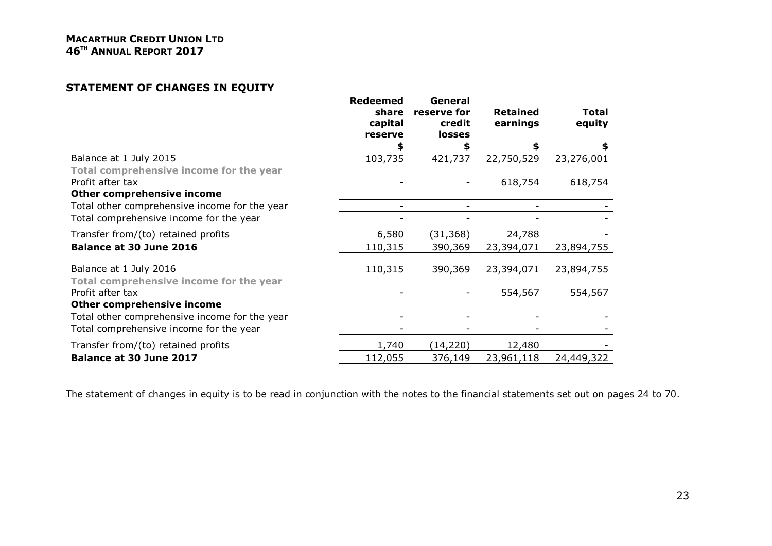# STATEMENT OF CHANGES IN EQUITY

|                                                                   | <b>Redeemed</b><br>share<br>capital<br>reserve | General<br>reserve for<br>credit<br><b>losses</b> | <b>Retained</b><br>earnings | Total<br>equity |
|-------------------------------------------------------------------|------------------------------------------------|---------------------------------------------------|-----------------------------|-----------------|
|                                                                   |                                                | \$                                                |                             |                 |
| Balance at 1 July 2015                                            | 103,735                                        | 421,737                                           | 22,750,529                  | 23,276,001      |
| Total comprehensive income for the year                           |                                                |                                                   |                             |                 |
| Profit after tax                                                  |                                                |                                                   | 618,754                     | 618,754         |
| <b>Other comprehensive income</b>                                 |                                                |                                                   |                             |                 |
| Total other comprehensive income for the year                     |                                                |                                                   |                             |                 |
| Total comprehensive income for the year                           |                                                |                                                   |                             |                 |
| Transfer from/(to) retained profits                               | 6,580                                          | (31,368)                                          | 24,788                      |                 |
| <b>Balance at 30 June 2016</b>                                    | 110,315                                        | 390,369                                           | 23,394,071                  | 23,894,755      |
| Balance at 1 July 2016<br>Total comprehensive income for the year | 110,315                                        | 390,369                                           | 23,394,071                  | 23,894,755      |
| Profit after tax<br>Other comprehensive income                    |                                                |                                                   | 554,567                     | 554,567         |
| Total other comprehensive income for the year                     |                                                |                                                   |                             |                 |
| Total comprehensive income for the year                           |                                                |                                                   |                             |                 |
| Transfer from/(to) retained profits                               | 1,740                                          | (14, 220)                                         | 12,480                      |                 |
| Balance at 30 June 2017                                           | 112,055                                        | 376,149                                           | 23,961,118                  | 24,449,322      |

The statement of changes in equity is to be read in conjunction with the notes to the financial statements set out on pages 24 to 70.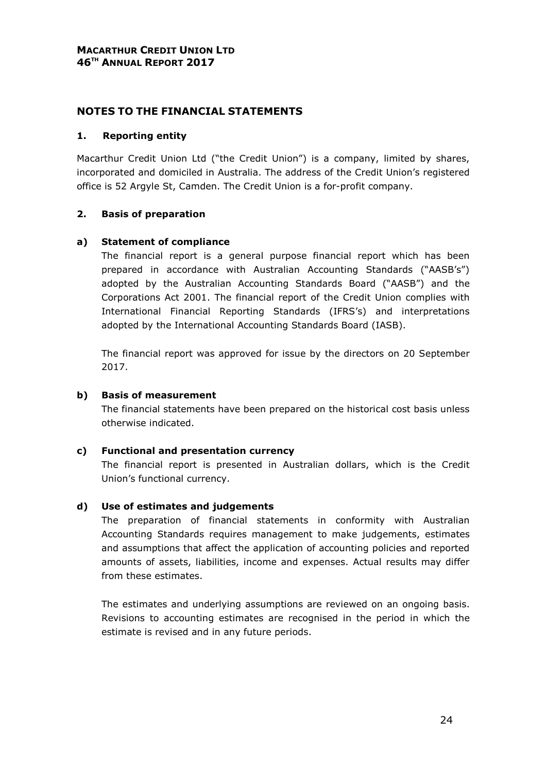#### 1. Reporting entity

Macarthur Credit Union Ltd ("the Credit Union") is a company, limited by shares, incorporated and domiciled in Australia. The address of the Credit Union's registered office is 52 Argyle St, Camden. The Credit Union is a for-profit company.

# 2. Basis of preparation

#### a) Statement of compliance

The financial report is a general purpose financial report which has been prepared in accordance with Australian Accounting Standards ("AASB's") adopted by the Australian Accounting Standards Board ("AASB") and the Corporations Act 2001. The financial report of the Credit Union complies with International Financial Reporting Standards (IFRS's) and interpretations adopted by the International Accounting Standards Board (IASB).

The financial report was approved for issue by the directors on 20 September 2017.

#### b) Basis of measurement

The financial statements have been prepared on the historical cost basis unless otherwise indicated.

#### c) Functional and presentation currency

The financial report is presented in Australian dollars, which is the Credit Union's functional currency.

# d) Use of estimates and judgements

The preparation of financial statements in conformity with Australian Accounting Standards requires management to make judgements, estimates and assumptions that affect the application of accounting policies and reported amounts of assets, liabilities, income and expenses. Actual results may differ from these estimates.

The estimates and underlying assumptions are reviewed on an ongoing basis. Revisions to accounting estimates are recognised in the period in which the estimate is revised and in any future periods.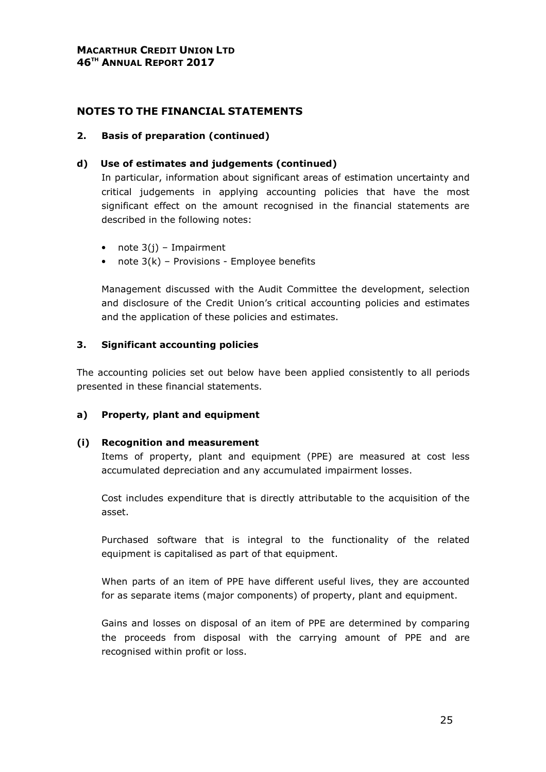#### 2. Basis of preparation (continued)

#### d) Use of estimates and judgements (continued)

In particular, information about significant areas of estimation uncertainty and critical judgements in applying accounting policies that have the most significant effect on the amount recognised in the financial statements are described in the following notes:

- note  $3(j)$  Impairment
- note  $3(k)$  Provisions Employee benefits

Management discussed with the Audit Committee the development, selection and disclosure of the Credit Union's critical accounting policies and estimates and the application of these policies and estimates.

#### 3. Significant accounting policies

The accounting policies set out below have been applied consistently to all periods presented in these financial statements.

#### a) Property, plant and equipment

#### (i) Recognition and measurement

Items of property, plant and equipment (PPE) are measured at cost less accumulated depreciation and any accumulated impairment losses.

Cost includes expenditure that is directly attributable to the acquisition of the asset.

Purchased software that is integral to the functionality of the related equipment is capitalised as part of that equipment.

When parts of an item of PPE have different useful lives, they are accounted for as separate items (major components) of property, plant and equipment.

Gains and losses on disposal of an item of PPE are determined by comparing the proceeds from disposal with the carrying amount of PPE and are recognised within profit or loss.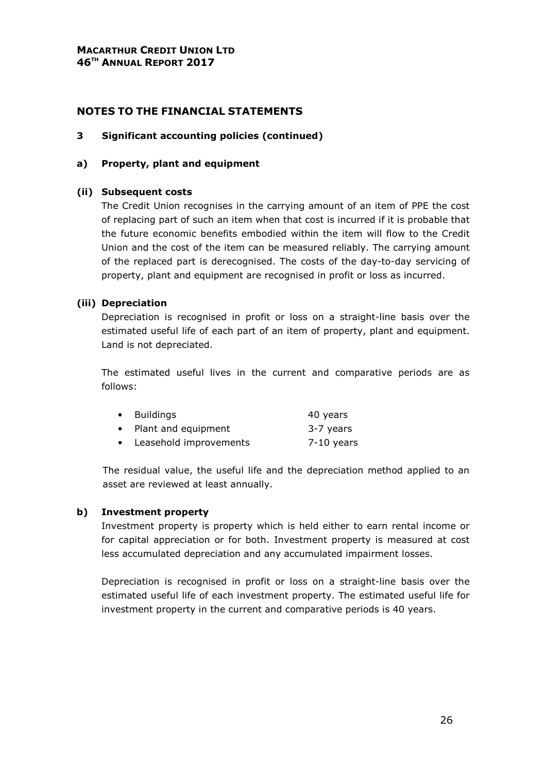#### 3 Significant accounting policies (continued)

#### a) Property, plant and equipment

#### (ii) Subsequent costs

The Credit Union recognises in the carrying amount of an item of PPE the cost of replacing part of such an item when that cost is incurred if it is probable that the future economic benefits embodied within the item will flow to the Credit Union and the cost of the item can be measured reliably. The carrying amount of the replaced part is derecognised. The costs of the day-to-day servicing of property, plant and equipment are recognised in profit or loss as incurred.

#### (iii) Depreciation

Depreciation is recognised in profit or loss on a straight-line basis over the estimated useful life of each part of an item of property, plant and equipment. Land is not depreciated.

The estimated useful lives in the current and comparative periods are as follows:

|           | • Buildings            | 40 years     |
|-----------|------------------------|--------------|
|           | • Plant and equipment  | 3-7 years    |
| $\bullet$ | Leasehold improvements | $7-10$ years |

The residual value, the useful life and the depreciation method applied to an asset are reviewed at least annually.

#### b) Investment property

Investment property is property which is held either to earn rental income or for capital appreciation or for both. Investment property is measured at cost less accumulated depreciation and any accumulated impairment losses.

Depreciation is recognised in profit or loss on a straight-line basis over the estimated useful life of each investment property. The estimated useful life for investment property in the current and comparative periods is 40 years.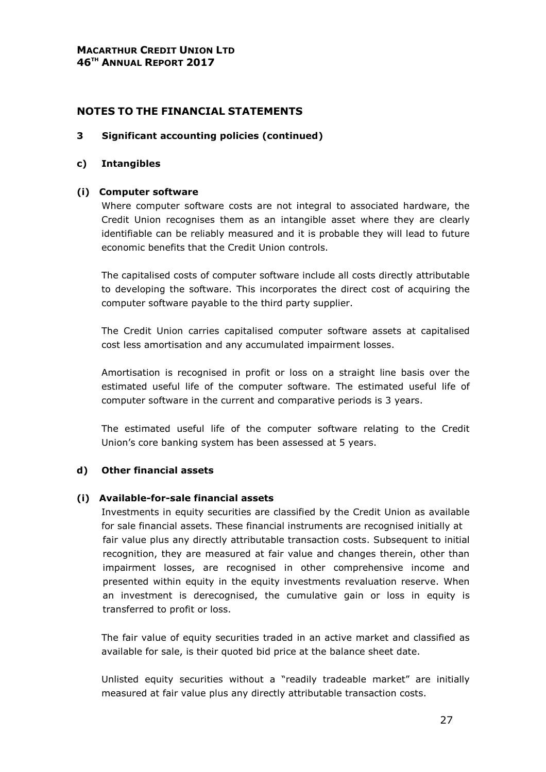#### 3 Significant accounting policies (continued)

#### c) Intangibles

#### (i) Computer software

Where computer software costs are not integral to associated hardware, the Credit Union recognises them as an intangible asset where they are clearly identifiable can be reliably measured and it is probable they will lead to future economic benefits that the Credit Union controls.

The capitalised costs of computer software include all costs directly attributable to developing the software. This incorporates the direct cost of acquiring the computer software payable to the third party supplier.

The Credit Union carries capitalised computer software assets at capitalised cost less amortisation and any accumulated impairment losses.

Amortisation is recognised in profit or loss on a straight line basis over the estimated useful life of the computer software. The estimated useful life of computer software in the current and comparative periods is 3 years.

The estimated useful life of the computer software relating to the Credit Union's core banking system has been assessed at 5 years.

# d) Other financial assets

#### (i) Available-for-sale financial assets

Investments in equity securities are classified by the Credit Union as available for sale financial assets. These financial instruments are recognised initially at fair value plus any directly attributable transaction costs. Subsequent to initial recognition, they are measured at fair value and changes therein, other than impairment losses, are recognised in other comprehensive income and presented within equity in the equity investments revaluation reserve. When an investment is derecognised, the cumulative gain or loss in equity is transferred to profit or loss.

The fair value of equity securities traded in an active market and classified as available for sale, is their quoted bid price at the balance sheet date.

Unlisted equity securities without a "readily tradeable market" are initially measured at fair value plus any directly attributable transaction costs.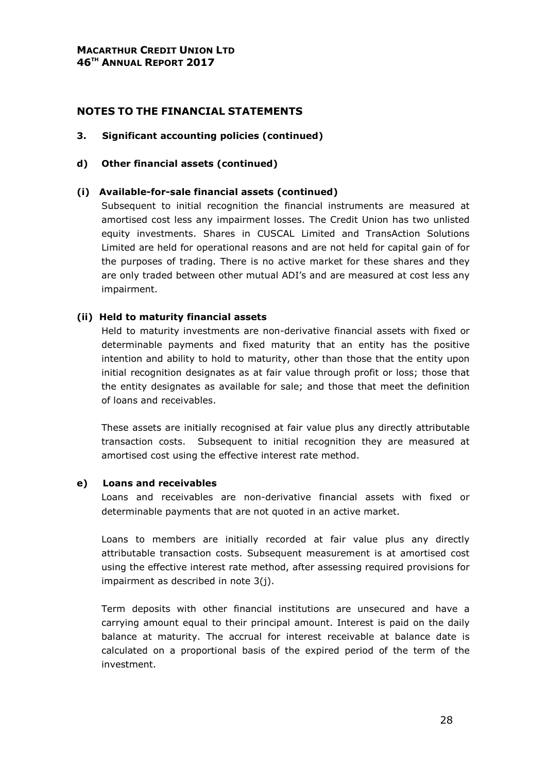#### 3. Significant accounting policies (continued)

#### d) Other financial assets (continued)

#### (i) Available-for-sale financial assets (continued)

Subsequent to initial recognition the financial instruments are measured at amortised cost less any impairment losses. The Credit Union has two unlisted equity investments. Shares in CUSCAL Limited and TransAction Solutions Limited are held for operational reasons and are not held for capital gain of for the purposes of trading. There is no active market for these shares and they are only traded between other mutual ADI's and are measured at cost less any impairment.

#### (ii) Held to maturity financial assets

Held to maturity investments are non-derivative financial assets with fixed or determinable payments and fixed maturity that an entity has the positive intention and ability to hold to maturity, other than those that the entity upon initial recognition designates as at fair value through profit or loss; those that the entity designates as available for sale; and those that meet the definition of loans and receivables.

These assets are initially recognised at fair value plus any directly attributable transaction costs. Subsequent to initial recognition they are measured at amortised cost using the effective interest rate method.

#### e) Loans and receivables

Loans and receivables are non-derivative financial assets with fixed or determinable payments that are not quoted in an active market.

Loans to members are initially recorded at fair value plus any directly attributable transaction costs. Subsequent measurement is at amortised cost using the effective interest rate method, after assessing required provisions for impairment as described in note 3(j).

Term deposits with other financial institutions are unsecured and have a carrying amount equal to their principal amount. Interest is paid on the daily balance at maturity. The accrual for interest receivable at balance date is calculated on a proportional basis of the expired period of the term of the investment.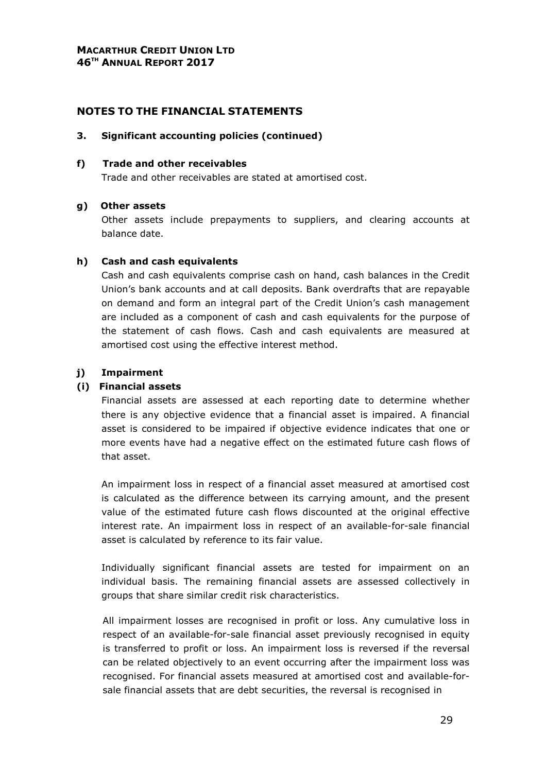#### 3. Significant accounting policies (continued)

#### f) Trade and other receivables

Trade and other receivables are stated at amortised cost.

#### g) Other assets

Other assets include prepayments to suppliers, and clearing accounts at balance date.

#### h) Cash and cash equivalents

Cash and cash equivalents comprise cash on hand, cash balances in the Credit Union's bank accounts and at call deposits. Bank overdrafts that are repayable on demand and form an integral part of the Credit Union's cash management are included as a component of cash and cash equivalents for the purpose of the statement of cash flows. Cash and cash equivalents are measured at amortised cost using the effective interest method.

# j) Impairment

#### (i) Financial assets

Financial assets are assessed at each reporting date to determine whether there is any objective evidence that a financial asset is impaired. A financial asset is considered to be impaired if objective evidence indicates that one or more events have had a negative effect on the estimated future cash flows of that asset.

An impairment loss in respect of a financial asset measured at amortised cost is calculated as the difference between its carrying amount, and the present value of the estimated future cash flows discounted at the original effective interest rate. An impairment loss in respect of an available-for-sale financial asset is calculated by reference to its fair value.

Individually significant financial assets are tested for impairment on an individual basis. The remaining financial assets are assessed collectively in groups that share similar credit risk characteristics.

All impairment losses are recognised in profit or loss. Any cumulative loss in respect of an available-for-sale financial asset previously recognised in equity is transferred to profit or loss. An impairment loss is reversed if the reversal can be related objectively to an event occurring after the impairment loss was recognised. For financial assets measured at amortised cost and available-forsale financial assets that are debt securities, the reversal is recognised in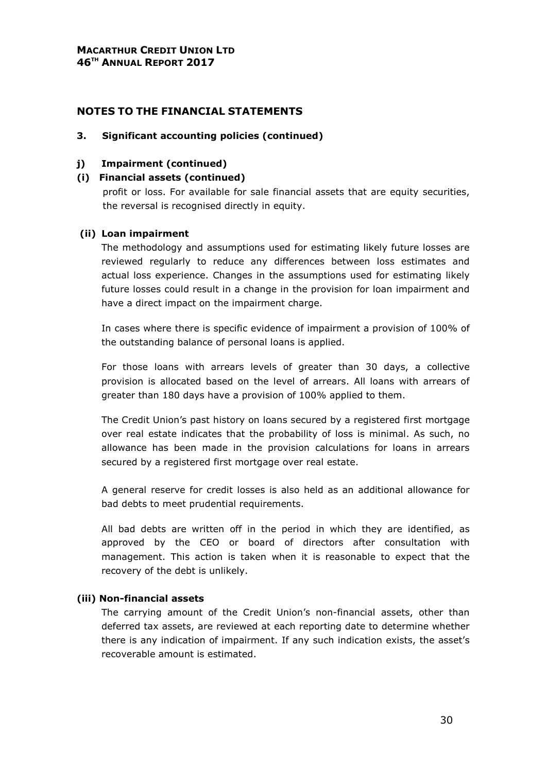#### 3. Significant accounting policies (continued)

#### j) Impairment (continued)

#### (i) Financial assets (continued)

profit or loss. For available for sale financial assets that are equity securities, the reversal is recognised directly in equity.

#### (ii) Loan impairment

The methodology and assumptions used for estimating likely future losses are reviewed regularly to reduce any differences between loss estimates and actual loss experience. Changes in the assumptions used for estimating likely future losses could result in a change in the provision for loan impairment and have a direct impact on the impairment charge.

In cases where there is specific evidence of impairment a provision of 100% of the outstanding balance of personal loans is applied.

For those loans with arrears levels of greater than 30 days, a collective provision is allocated based on the level of arrears. All loans with arrears of greater than 180 days have a provision of 100% applied to them.

The Credit Union's past history on loans secured by a registered first mortgage over real estate indicates that the probability of loss is minimal. As such, no allowance has been made in the provision calculations for loans in arrears secured by a registered first mortgage over real estate.

A general reserve for credit losses is also held as an additional allowance for bad debts to meet prudential requirements.

All bad debts are written off in the period in which they are identified, as approved by the CEO or board of directors after consultation with management. This action is taken when it is reasonable to expect that the recovery of the debt is unlikely.

#### (iii) Non-financial assets

The carrying amount of the Credit Union's non-financial assets, other than deferred tax assets, are reviewed at each reporting date to determine whether there is any indication of impairment. If any such indication exists, the asset's recoverable amount is estimated.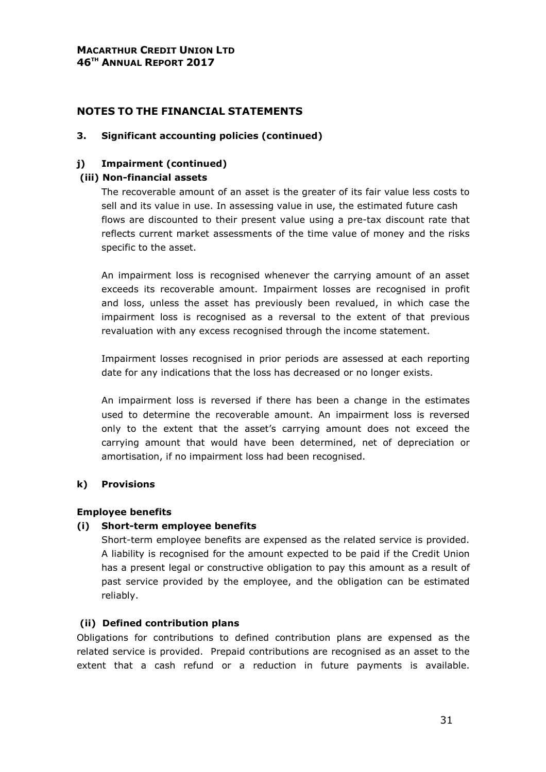#### 3. Significant accounting policies (continued)

# j) Impairment (continued)

#### (iii) Non-financial assets

The recoverable amount of an asset is the greater of its fair value less costs to sell and its value in use. In assessing value in use, the estimated future cash flows are discounted to their present value using a pre-tax discount rate that reflects current market assessments of the time value of money and the risks specific to the asset.

An impairment loss is recognised whenever the carrying amount of an asset exceeds its recoverable amount. Impairment losses are recognised in profit and loss, unless the asset has previously been revalued, in which case the impairment loss is recognised as a reversal to the extent of that previous revaluation with any excess recognised through the income statement.

Impairment losses recognised in prior periods are assessed at each reporting date for any indications that the loss has decreased or no longer exists.

An impairment loss is reversed if there has been a change in the estimates used to determine the recoverable amount. An impairment loss is reversed only to the extent that the asset's carrying amount does not exceed the carrying amount that would have been determined, net of depreciation or amortisation, if no impairment loss had been recognised.

#### k) Provisions

#### Employee benefits

#### (i) Short-term employee benefits

Short-term employee benefits are expensed as the related service is provided. A liability is recognised for the amount expected to be paid if the Credit Union has a present legal or constructive obligation to pay this amount as a result of past service provided by the employee, and the obligation can be estimated reliably.

#### (ii) Defined contribution plans

Obligations for contributions to defined contribution plans are expensed as the related service is provided. Prepaid contributions are recognised as an asset to the extent that a cash refund or a reduction in future payments is available.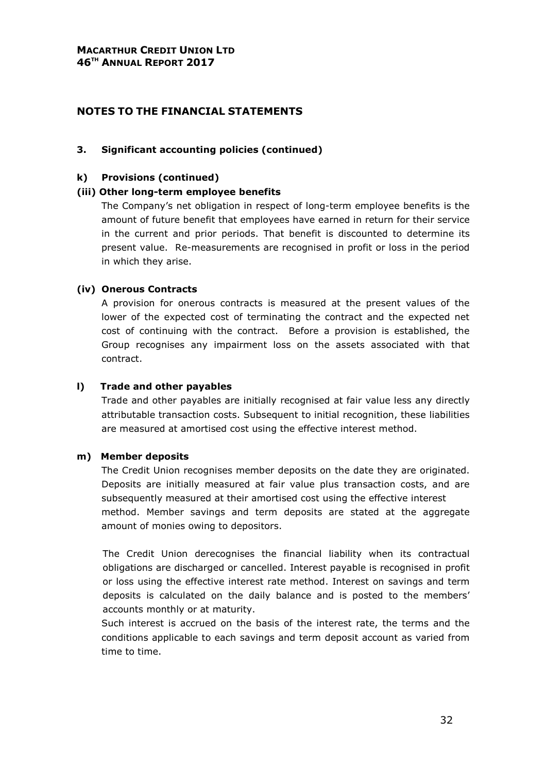#### 3. Significant accounting policies (continued)

#### k) Provisions (continued)

#### (iii) Other long-term employee benefits

The Company's net obligation in respect of long-term employee benefits is the amount of future benefit that employees have earned in return for their service in the current and prior periods. That benefit is discounted to determine its present value. Re-measurements are recognised in profit or loss in the period in which they arise.

#### (iv) Onerous Contracts

A provision for onerous contracts is measured at the present values of the lower of the expected cost of terminating the contract and the expected net cost of continuing with the contract. Before a provision is established, the Group recognises any impairment loss on the assets associated with that contract.

#### l) Trade and other payables

Trade and other payables are initially recognised at fair value less any directly attributable transaction costs. Subsequent to initial recognition, these liabilities are measured at amortised cost using the effective interest method.

#### m) Member deposits

The Credit Union recognises member deposits on the date they are originated. Deposits are initially measured at fair value plus transaction costs, and are subsequently measured at their amortised cost using the effective interest method. Member savings and term deposits are stated at the aggregate amount of monies owing to depositors.

The Credit Union derecognises the financial liability when its contractual obligations are discharged or cancelled. Interest payable is recognised in profit or loss using the effective interest rate method. Interest on savings and term deposits is calculated on the daily balance and is posted to the members' accounts monthly or at maturity.

Such interest is accrued on the basis of the interest rate, the terms and the conditions applicable to each savings and term deposit account as varied from time to time.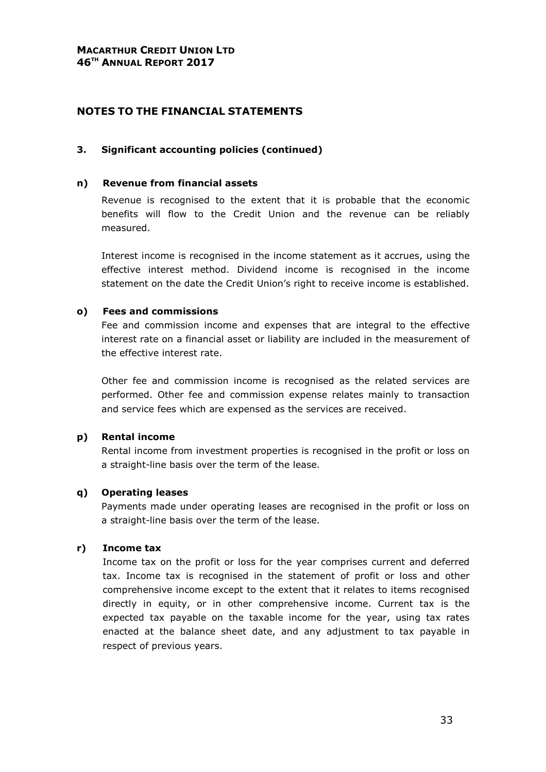#### 3. Significant accounting policies (continued)

#### n) Revenue from financial assets

Revenue is recognised to the extent that it is probable that the economic benefits will flow to the Credit Union and the revenue can be reliably measured.

Interest income is recognised in the income statement as it accrues, using the effective interest method. Dividend income is recognised in the income statement on the date the Credit Union's right to receive income is established.

#### o) Fees and commissions

Fee and commission income and expenses that are integral to the effective interest rate on a financial asset or liability are included in the measurement of the effective interest rate.

Other fee and commission income is recognised as the related services are performed. Other fee and commission expense relates mainly to transaction and service fees which are expensed as the services are received.

#### p) Rental income

Rental income from investment properties is recognised in the profit or loss on a straight-line basis over the term of the lease.

#### q) Operating leases

Payments made under operating leases are recognised in the profit or loss on a straight-line basis over the term of the lease.

#### r) Income tax

Income tax on the profit or loss for the year comprises current and deferred tax. Income tax is recognised in the statement of profit or loss and other comprehensive income except to the extent that it relates to items recognised directly in equity, or in other comprehensive income. Current tax is the expected tax payable on the taxable income for the year, using tax rates enacted at the balance sheet date, and any adjustment to tax payable in respect of previous years.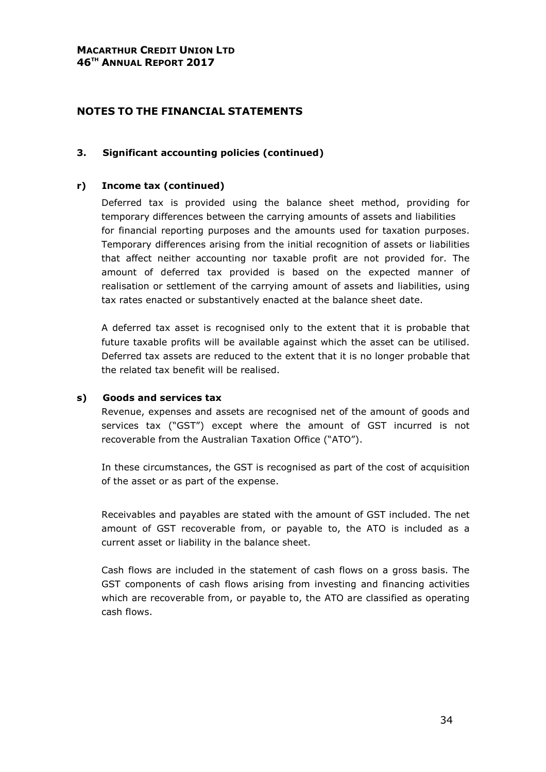# NOTES TO THE FINANCIAL STATEMENTS

#### 3. Significant accounting policies (continued)

#### r) Income tax (continued)

Deferred tax is provided using the balance sheet method, providing for temporary differences between the carrying amounts of assets and liabilities for financial reporting purposes and the amounts used for taxation purposes. Temporary differences arising from the initial recognition of assets or liabilities that affect neither accounting nor taxable profit are not provided for. The amount of deferred tax provided is based on the expected manner of realisation or settlement of the carrying amount of assets and liabilities, using tax rates enacted or substantively enacted at the balance sheet date.

A deferred tax asset is recognised only to the extent that it is probable that future taxable profits will be available against which the asset can be utilised. Deferred tax assets are reduced to the extent that it is no longer probable that the related tax benefit will be realised.

#### s) Goods and services tax

Revenue, expenses and assets are recognised net of the amount of goods and services tax ("GST") except where the amount of GST incurred is not recoverable from the Australian Taxation Office ("ATO").

In these circumstances, the GST is recognised as part of the cost of acquisition of the asset or as part of the expense.

Receivables and payables are stated with the amount of GST included. The net amount of GST recoverable from, or payable to, the ATO is included as a current asset or liability in the balance sheet.

Cash flows are included in the statement of cash flows on a gross basis. The GST components of cash flows arising from investing and financing activities which are recoverable from, or payable to, the ATO are classified as operating cash flows.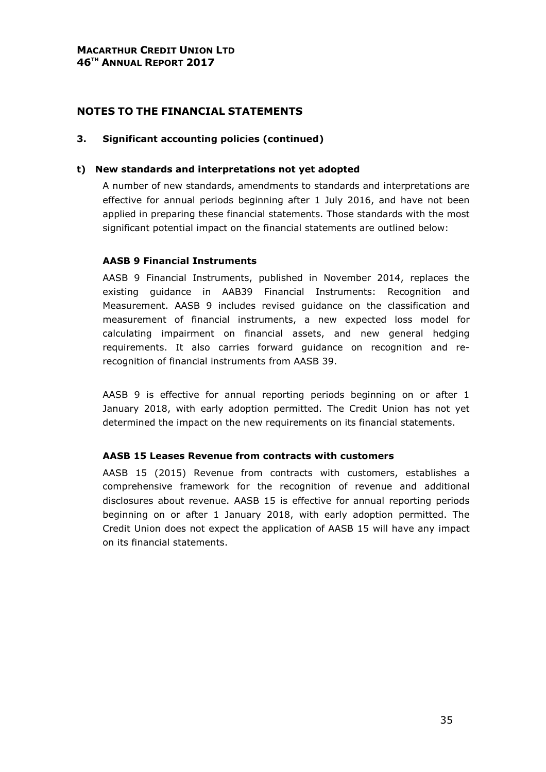#### 3. Significant accounting policies (continued)

#### t) New standards and interpretations not yet adopted

 A number of new standards, amendments to standards and interpretations are effective for annual periods beginning after 1 July 2016, and have not been applied in preparing these financial statements. Those standards with the most significant potential impact on the financial statements are outlined below:

#### AASB 9 Financial Instruments

 AASB 9 Financial Instruments, published in November 2014, replaces the existing guidance in AAB39 Financial Instruments: Recognition and Measurement. AASB 9 includes revised guidance on the classification and measurement of financial instruments, a new expected loss model for calculating impairment on financial assets, and new general hedging requirements. It also carries forward guidance on recognition and rerecognition of financial instruments from AASB 39.

 AASB 9 is effective for annual reporting periods beginning on or after 1 January 2018, with early adoption permitted. The Credit Union has not yet determined the impact on the new requirements on its financial statements.

#### AASB 15 Leases Revenue from contracts with customers

 AASB 15 (2015) Revenue from contracts with customers, establishes a comprehensive framework for the recognition of revenue and additional disclosures about revenue. AASB 15 is effective for annual reporting periods beginning on or after 1 January 2018, with early adoption permitted. The Credit Union does not expect the application of AASB 15 will have any impact on its financial statements.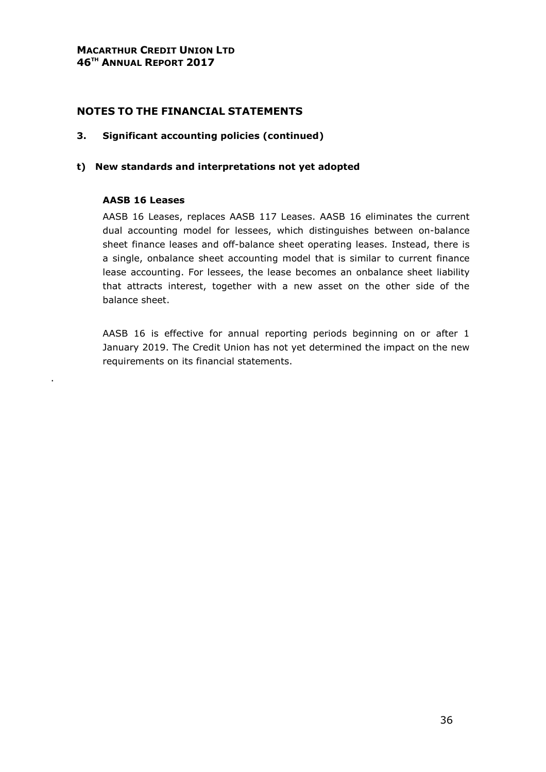#### 3. Significant accounting policies (continued)

#### t) New standards and interpretations not yet adopted

#### AASB 16 Leases

.

 AASB 16 Leases, replaces AASB 117 Leases. AASB 16 eliminates the current dual accounting model for lessees, which distinguishes between on-balance sheet finance leases and off-balance sheet operating leases. Instead, there is a single, onbalance sheet accounting model that is similar to current finance lease accounting. For lessees, the lease becomes an onbalance sheet liability that attracts interest, together with a new asset on the other side of the balance sheet.

 AASB 16 is effective for annual reporting periods beginning on or after 1 January 2019. The Credit Union has not yet determined the impact on the new requirements on its financial statements.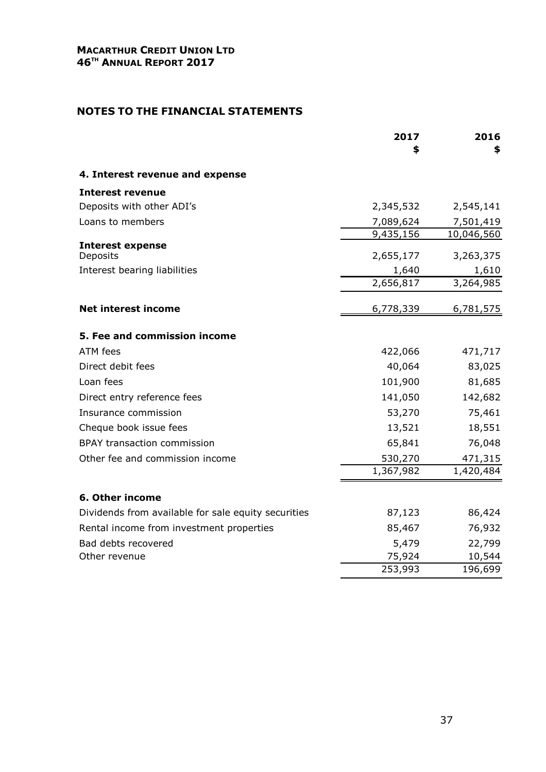|                                                     | 2017<br>\$ | 2016<br>\$ |
|-----------------------------------------------------|------------|------------|
| 4. Interest revenue and expense                     |            |            |
| <b>Interest revenue</b>                             |            |            |
| Deposits with other ADI's                           | 2,345,532  | 2,545,141  |
| Loans to members                                    | 7,089,624  | 7,501,419  |
|                                                     | 9,435,156  | 10,046,560 |
| <b>Interest expense</b><br>Deposits                 | 2,655,177  | 3,263,375  |
| Interest bearing liabilities                        | 1,640      | 1,610      |
|                                                     | 2,656,817  | 3,264,985  |
| <b>Net interest income</b>                          | 6,778,339  | 6,781,575  |
| 5. Fee and commission income                        |            |            |
| ATM fees                                            | 422,066    | 471,717    |
| Direct debit fees                                   | 40,064     | 83,025     |
| Loan fees                                           | 101,900    | 81,685     |
| Direct entry reference fees                         | 141,050    | 142,682    |
| Insurance commission                                | 53,270     | 75,461     |
| Cheque book issue fees                              | 13,521     | 18,551     |
| <b>BPAY transaction commission</b>                  | 65,841     | 76,048     |
| Other fee and commission income                     | 530,270    | 471,315    |
|                                                     | 1,367,982  | 1,420,484  |
| 6. Other income                                     |            |            |
| Dividends from available for sale equity securities | 87,123     | 86,424     |
| Rental income from investment properties            | 85,467     | 76,932     |
| Bad debts recovered                                 | 5,479      | 22,799     |
| Other revenue                                       | 75,924     | 10,544     |
|                                                     | 253,993    | 196,699    |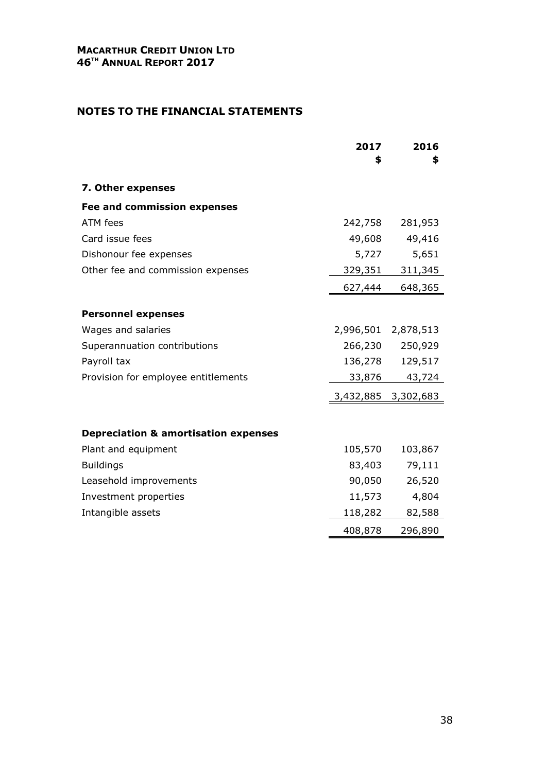|                                                 | 2017<br>\$          | 2016<br>\$          |
|-------------------------------------------------|---------------------|---------------------|
| 7. Other expenses                               |                     |                     |
| <b>Fee and commission expenses</b>              |                     |                     |
| ATM fees                                        | 242,758             | 281,953             |
| Card issue fees                                 | 49,608              | 49,416              |
| Dishonour fee expenses                          | 5,727               | 5,651               |
| Other fee and commission expenses               | 329,351             | 311,345             |
|                                                 | 627,444             | 648,365             |
| <b>Personnel expenses</b>                       |                     |                     |
| Wages and salaries                              |                     | 2,996,501 2,878,513 |
| Superannuation contributions                    | 266,230             | 250,929             |
| Payroll tax                                     | 136,278             | 129,517             |
| Provision for employee entitlements             | 33,876              | 43,724              |
|                                                 | 3,432,885 3,302,683 |                     |
|                                                 |                     |                     |
| <b>Depreciation &amp; amortisation expenses</b> |                     |                     |
| Plant and equipment                             | 105,570             | 103,867             |
| <b>Buildings</b>                                | 83,403              | 79,111              |
| Leasehold improvements                          | 90,050              | 26,520              |
| Investment properties                           | 11,573              | 4,804               |
| Intangible assets                               | 118,282             | 82,588              |
|                                                 | 408,878             | 296,890             |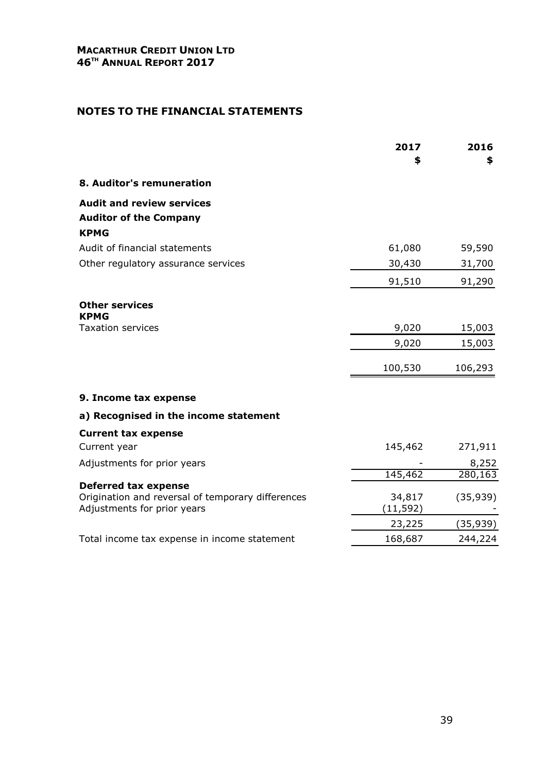|                                                                                  | 2017<br>\$ | 2016<br>\$           |
|----------------------------------------------------------------------------------|------------|----------------------|
| 8. Auditor's remuneration                                                        |            |                      |
| <b>Audit and review services</b>                                                 |            |                      |
| <b>Auditor of the Company</b>                                                    |            |                      |
| <b>KPMG</b>                                                                      |            |                      |
| Audit of financial statements                                                    | 61,080     | 59,590               |
| Other regulatory assurance services                                              | 30,430     | 31,700               |
|                                                                                  | 91,510     | 91,290               |
| <b>Other services</b><br><b>KPMG</b>                                             |            |                      |
| <b>Taxation services</b>                                                         | 9,020      | 15,003               |
|                                                                                  | 9,020      | 15,003               |
|                                                                                  | 100,530    | 106,293              |
| 9. Income tax expense                                                            |            |                      |
| a) Recognised in the income statement                                            |            |                      |
| <b>Current tax expense</b>                                                       |            |                      |
| Current year                                                                     | 145,462    | 271,911              |
| Adjustments for prior years                                                      |            | 8,252                |
|                                                                                  | 145,462    | $\overline{280,}163$ |
| <b>Deferred tax expense</b><br>Origination and reversal of temporary differences | 34,817     | (35, 939)            |
| Adjustments for prior years                                                      | (11, 592)  |                      |
|                                                                                  | 23,225     | (35,939)             |
| Total income tax expense in income statement                                     | 168,687    | 244,224              |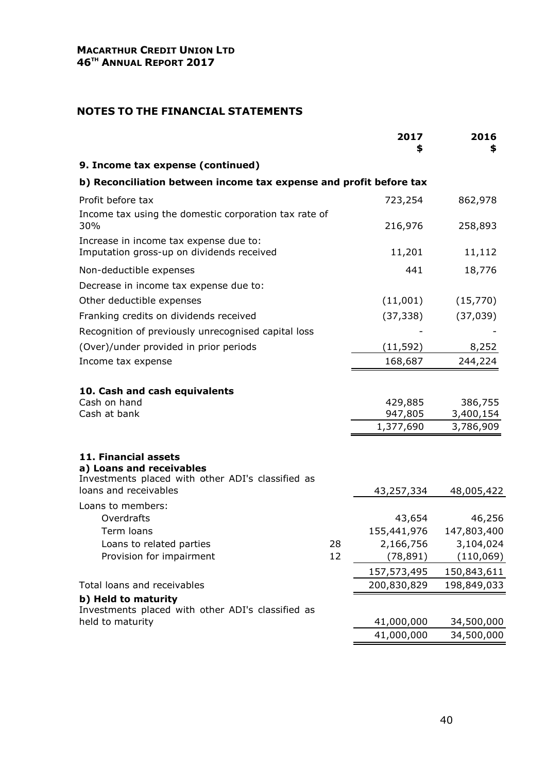|                                                                                                                                |    | 2017                            | 2016<br>S                         |
|--------------------------------------------------------------------------------------------------------------------------------|----|---------------------------------|-----------------------------------|
| 9. Income tax expense (continued)                                                                                              |    |                                 |                                   |
| b) Reconciliation between income tax expense and profit before tax                                                             |    |                                 |                                   |
| Profit before tax                                                                                                              |    | 723,254                         | 862,978                           |
| Income tax using the domestic corporation tax rate of<br>30%                                                                   |    | 216,976                         | 258,893                           |
| Increase in income tax expense due to:<br>Imputation gross-up on dividends received                                            |    | 11,201                          | 11,112                            |
| Non-deductible expenses                                                                                                        |    | 441                             | 18,776                            |
| Decrease in income tax expense due to:                                                                                         |    |                                 |                                   |
| Other deductible expenses                                                                                                      |    | (11,001)                        | (15, 770)                         |
| Franking credits on dividends received                                                                                         |    | (37, 338)                       | (37, 039)                         |
| Recognition of previously unrecognised capital loss                                                                            |    |                                 |                                   |
| (Over)/under provided in prior periods                                                                                         |    | (11, 592)                       | 8,252                             |
| Income tax expense                                                                                                             |    | 168,687                         | 244,224                           |
| 10. Cash and cash equivalents<br>Cash on hand<br>Cash at bank                                                                  |    | 429,885<br>947,805<br>1,377,690 | 386,755<br>3,400,154<br>3,786,909 |
| 11. Financial assets<br>a) Loans and receivables<br>Investments placed with other ADI's classified as<br>loans and receivables |    | 43,257,334                      | 48,005,422                        |
| Loans to members:<br>Overdrafts                                                                                                |    | 43,654                          | 46,256                            |
| Term loans                                                                                                                     |    | 155,441,976                     | 147,803,400                       |
| Loans to related parties                                                                                                       | 28 | 2,166,756                       | 3,104,024                         |
| Provision for impairment                                                                                                       | 12 | (78, 891)                       | (110,069)                         |
|                                                                                                                                |    | 157,573,495                     | 150,843,611                       |
| Total loans and receivables                                                                                                    |    | 200,830,829                     | 198,849,033                       |
| b) Held to maturity<br>Investments placed with other ADI's classified as                                                       |    |                                 |                                   |
| held to maturity                                                                                                               |    | 41,000,000                      | 34,500,000                        |
|                                                                                                                                |    | 41,000,000                      | 34,500,000                        |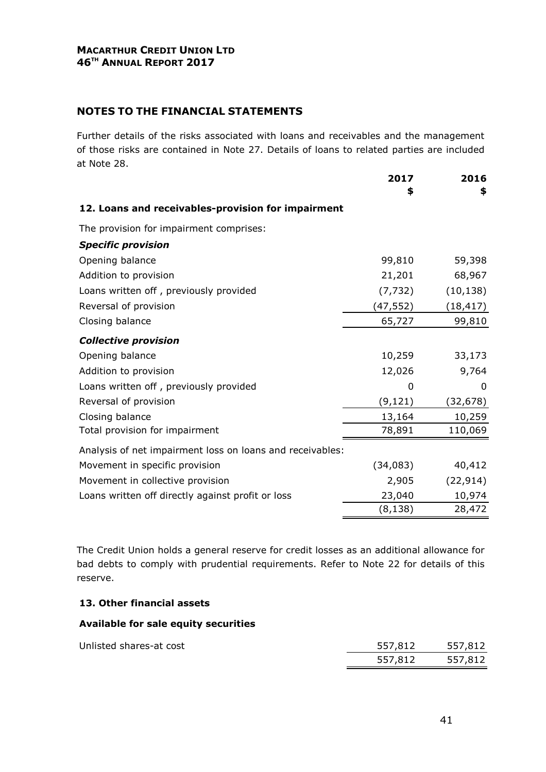#### MACARTHUR CREDIT UNION LTD 46<sup>TH</sup> ANNUAL REPORT 2017

#### NOTES TO THE FINANCIAL STATEMENTS

Further details of the risks associated with loans and receivables and the management of those risks are contained in Note 27. Details of loans to related parties are included at Note 28.

|                                                           | 2017      | 2016      |
|-----------------------------------------------------------|-----------|-----------|
|                                                           | \$        | \$        |
| 12. Loans and receivables-provision for impairment        |           |           |
| The provision for impairment comprises:                   |           |           |
| <b>Specific provision</b>                                 |           |           |
| Opening balance                                           | 99,810    | 59,398    |
| Addition to provision                                     | 21,201    | 68,967    |
| Loans written off, previously provided                    | (7, 732)  | (10, 138) |
| Reversal of provision                                     | (47,552)  | (18, 417) |
| Closing balance                                           | 65,727    | 99,810    |
| <b>Collective provision</b>                               |           |           |
| Opening balance                                           | 10,259    | 33,173    |
| Addition to provision                                     | 12,026    | 9,764     |
| Loans written off, previously provided                    | $\Omega$  | 0         |
| Reversal of provision                                     | (9, 121)  | (32, 678) |
| Closing balance                                           | 13,164    | 10,259    |
| Total provision for impairment                            | 78,891    | 110,069   |
| Analysis of net impairment loss on loans and receivables: |           |           |
| Movement in specific provision                            | (34, 083) | 40,412    |
| Movement in collective provision                          | 2,905     | (22, 914) |
| Loans written off directly against profit or loss         | 23,040    | 10,974    |
|                                                           | (8,138)   | 28,472    |

The Credit Union holds a general reserve for credit losses as an additional allowance for bad debts to comply with prudential requirements. Refer to Note 22 for details of this reserve.

#### 13. Other financial assets

#### Available for sale equity securities

|                         | 557,812 | 557,812 |
|-------------------------|---------|---------|
| Unlisted shares-at cost | 557,812 | 557,812 |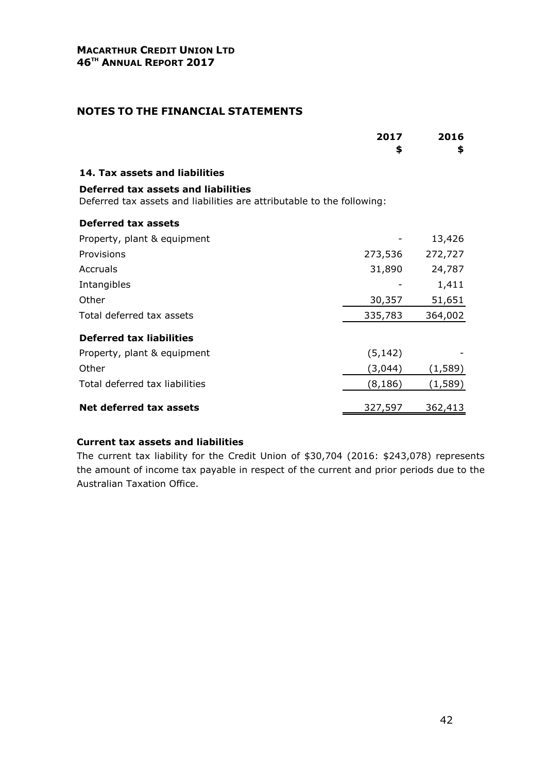#### NOTES TO THE FINANCIAL STATEMENTS

|                                                                                                               | 2017<br>\$ | 2016<br>\$     |
|---------------------------------------------------------------------------------------------------------------|------------|----------------|
| 14. Tax assets and liabilities                                                                                |            |                |
| Deferred tax assets and liabilities<br>Deferred tax assets and liabilities are attributable to the following: |            |                |
| <b>Deferred tax assets</b>                                                                                    |            |                |
| Property, plant & equipment                                                                                   |            | 13,426         |
| Provisions                                                                                                    | 273,536    | 272,727        |
| Accruals                                                                                                      | 31,890     | 24,787         |
| Intangibles                                                                                                   |            | 1,411          |
| Other                                                                                                         | 30,357     | 51,651         |
| Total deferred tax assets                                                                                     | 335,783    | 364,002        |
| <b>Deferred tax liabilities</b>                                                                               |            |                |
| Property, plant & equipment                                                                                   | (5, 142)   |                |
| Other                                                                                                         | (3,044)    | (1, 589)       |
| Total deferred tax liabilities                                                                                | (8, 186)   | (1, 589)       |
| Net deferred tax assets                                                                                       | 327,597    | <u>362,413</u> |

#### Current tax assets and liabilities

The current tax liability for the Credit Union of \$30,704 (2016: \$243,078) represents the amount of income tax payable in respect of the current and prior periods due to the Australian Taxation Office.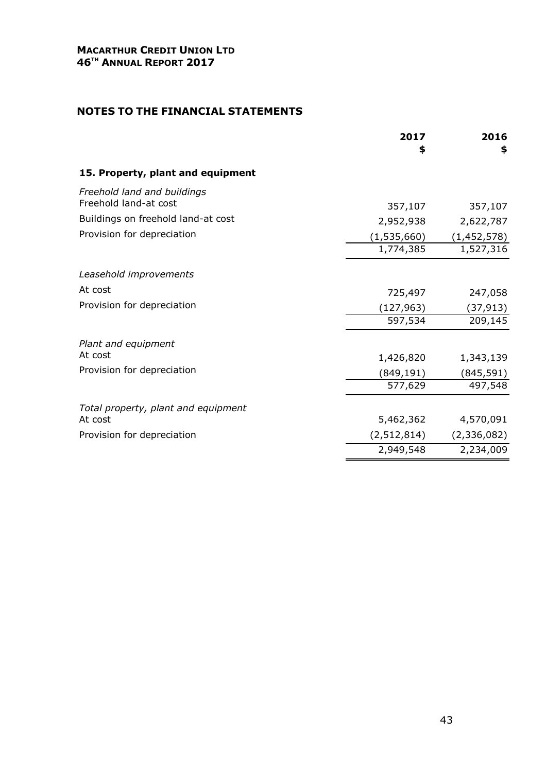|                                                      | 2017<br>\$  | 2016<br>\$  |
|------------------------------------------------------|-------------|-------------|
| 15. Property, plant and equipment                    |             |             |
| Freehold land and buildings<br>Freehold land-at cost |             |             |
| Buildings on freehold land-at cost                   | 357,107     | 357,107     |
|                                                      | 2,952,938   | 2,622,787   |
| Provision for depreciation                           | (1,535,660) | (1,452,578) |
|                                                      | 1,774,385   | 1,527,316   |
| Leasehold improvements                               |             |             |
| At cost                                              | 725,497     | 247,058     |
| Provision for depreciation                           | (127,963)   | (37,913)    |
|                                                      | 597,534     | 209,145     |
| Plant and equipment                                  |             |             |
| At cost                                              | 1,426,820   | 1,343,139   |
| Provision for depreciation                           | (849, 191)  | (845, 591)  |
|                                                      | 577,629     | 497,548     |
| Total property, plant and equipment                  |             |             |
| At cost                                              | 5,462,362   | 4,570,091   |
| Provision for depreciation                           | (2,512,814) | (2,336,082) |
|                                                      | 2,949,548   | 2,234,009   |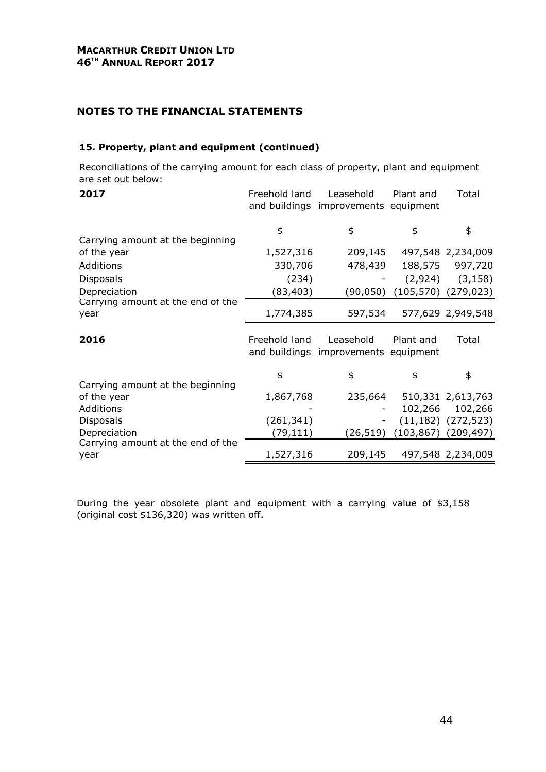#### 15. Property, plant and equipment (continued)

Reconciliations of the carrying amount for each class of property, plant and equipment are set out below:

| 2017                                      | Freehold land | Leasehold<br>and buildings improvements equipment | Plant and | Total                                                 |
|-------------------------------------------|---------------|---------------------------------------------------|-----------|-------------------------------------------------------|
| Carrying amount at the beginning          | \$            | \$                                                | \$        | \$                                                    |
| of the year                               | 1,527,316     | 209,145                                           |           | 497,548 2,234,009                                     |
| Additions                                 | 330,706       | 478,439                                           | 188,575   | 997,720                                               |
| <b>Disposals</b>                          | (234)         |                                                   | (2,924)   | (3, 158)                                              |
| Depreciation                              | (83, 403)     | (90,050)                                          |           | $(105, 570)$ $(279, 023)$                             |
| Carrying amount at the end of the<br>year | 1,774,385     | 597,534                                           |           | 577,629 2,949,548                                     |
| 2016                                      | Freehold land | Leasehold<br>and buildings improvements equipment | Plant and | Total                                                 |
| Carrying amount at the beginning          | \$            | \$                                                | \$        | \$                                                    |
| of the year                               | 1,867,768     | 235,664                                           |           | 510,331 2,613,763                                     |
| Additions                                 |               |                                                   | 102,266   | 102,266                                               |
| <b>Disposals</b><br>Depreciation          | (261, 341)    | (26,519)                                          |           | $(11, 182)$ $(272, 523)$<br>$(103, 867)$ $(209, 497)$ |
| Carrying amount at the end of the         | (79,111)      |                                                   |           |                                                       |
| year                                      | 1,527,316     | 209,145                                           |           | 497,548 2,234,009                                     |

During the year obsolete plant and equipment with a carrying value of \$3,158 (original cost \$136,320) was written off.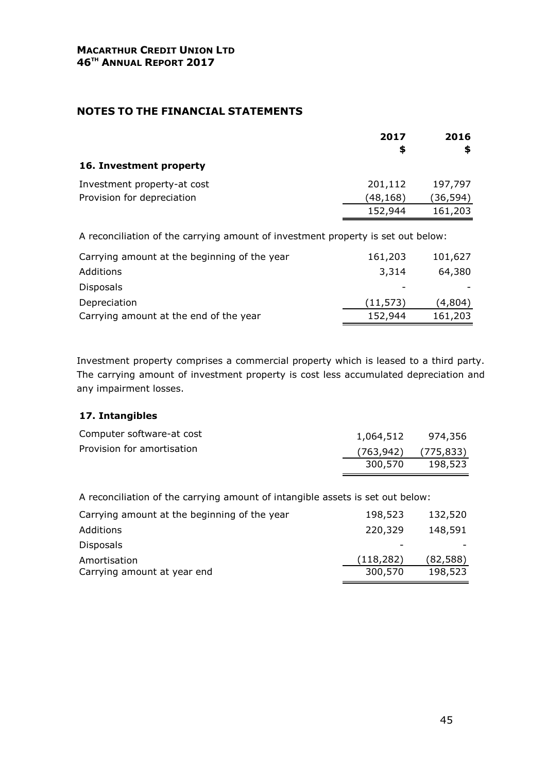|                                                                                  | 2017     | 2016     |
|----------------------------------------------------------------------------------|----------|----------|
|                                                                                  | \$       | \$       |
| 16. Investment property                                                          |          |          |
| Investment property-at cost                                                      | 201,112  | 197,797  |
| Provision for depreciation                                                       | (48,168) | (36,594) |
|                                                                                  | 152,944  | 161,203  |
| A reconciliation of the carrying amount of investment property is set out below: |          |          |
| Carrying amount at the beginning of the year                                     | 161,203  | 101,627  |
| Additions                                                                        | 3,314    | 64,380   |
| <b>Disposals</b>                                                                 |          |          |

Depreciation (11,573) (4,804) Carrying amount at the end of the year 152,944 161,203

Investment property comprises a commercial property which is leased to a third party. The carrying amount of investment property is cost less accumulated depreciation and any impairment losses.

#### 17. Intangibles

| Computer software-at cost  | 1,064,512                 | 974,356 |
|----------------------------|---------------------------|---------|
| Provision for amortisation | $(763, 942)$ $(775, 833)$ |         |
|                            | 300,570                   | 198,523 |

A reconciliation of the carrying amount of intangible assets is set out below:

| Carrying amount at the beginning of the year | 198,523    | 132,520   |
|----------------------------------------------|------------|-----------|
| Additions                                    | 220,329    | 148,591   |
| <b>Disposals</b>                             |            |           |
| Amortisation                                 | (118, 282) | (82, 588) |
| Carrying amount at year end                  | 300,570    | 198,523   |
|                                              |            |           |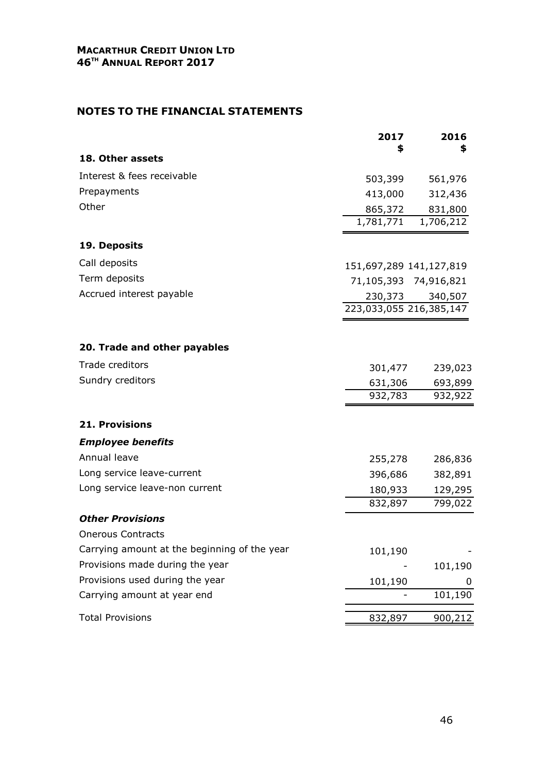|                                              | 2017<br>\$              | 2016<br>\$ |
|----------------------------------------------|-------------------------|------------|
| 18. Other assets                             |                         |            |
| Interest & fees receivable                   | 503,399                 | 561,976    |
| Prepayments                                  | 413,000                 | 312,436    |
| Other                                        | 865,372                 | 831,800    |
|                                              | 1,781,771               | 1,706,212  |
| 19. Deposits                                 |                         |            |
| Call deposits                                | 151,697,289 141,127,819 |            |
| Term deposits                                | 71,105,393 74,916,821   |            |
| Accrued interest payable                     | 230,373                 | 340,507    |
|                                              | 223,033,055 216,385,147 |            |
|                                              |                         |            |
| 20. Trade and other payables                 |                         |            |
| Trade creditors                              | 301,477                 | 239,023    |
| Sundry creditors                             | 631,306                 | 693,899    |
|                                              | 932,783                 | 932,922    |
| <b>21. Provisions</b>                        |                         |            |
| <b>Employee benefits</b>                     |                         |            |
| Annual leave                                 | 255,278                 | 286,836    |
| Long service leave-current                   | 396,686                 | 382,891    |
| Long service leave-non current               | 180,933                 | 129,295    |
|                                              | 832,897                 | 799,022    |
| <b>Other Provisions</b>                      |                         |            |
| <b>Onerous Contracts</b>                     |                         |            |
| Carrying amount at the beginning of the year | 101,190                 |            |
| Provisions made during the year              |                         | 101,190    |
| Provisions used during the year              | 101,190                 | 0          |
| Carrying amount at year end                  |                         | 101,190    |
| <b>Total Provisions</b>                      | 832,897                 | 900,212    |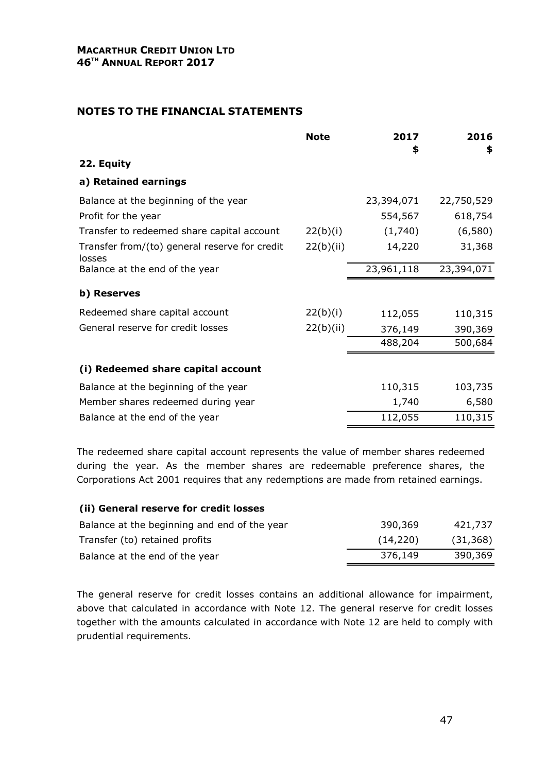|                                                         | <b>Note</b> | 2017       | 2016       |
|---------------------------------------------------------|-------------|------------|------------|
| 22. Equity                                              |             | \$         | \$         |
| a) Retained earnings                                    |             |            |            |
| Balance at the beginning of the year                    |             | 23,394,071 | 22,750,529 |
| Profit for the year                                     |             | 554,567    | 618,754    |
| Transfer to redeemed share capital account              | 22(b)(i)    | (1,740)    | (6,580)    |
| Transfer from/(to) general reserve for credit<br>losses | 22(b)(ii)   | 14,220     | 31,368     |
| Balance at the end of the year                          |             | 23,961,118 | 23,394,071 |
| b) Reserves                                             |             |            |            |
| Redeemed share capital account                          | 22(b)(i)    | 112,055    | 110,315    |
| General reserve for credit losses                       | 22(b)(ii)   | 376,149    | 390,369    |
|                                                         |             | 488,204    | 500,684    |
| (i) Redeemed share capital account                      |             |            |            |
| Balance at the beginning of the year                    |             | 110,315    | 103,735    |
| Member shares redeemed during year                      |             | 1,740      | 6,580      |
| Balance at the end of the year                          |             | 112,055    | 110,315    |
|                                                         |             |            |            |

The redeemed share capital account represents the value of member shares redeemed during the year. As the member shares are redeemable preference shares, the Corporations Act 2001 requires that any redemptions are made from retained earnings.

#### (ii) General reserve for credit losses

| Balance at the beginning and end of the year | 390,369  | 421,737   |
|----------------------------------------------|----------|-----------|
| Transfer (to) retained profits               | (14,220) | (31, 368) |
| Balance at the end of the year               | 376,149  | 390,369   |

The general reserve for credit losses contains an additional allowance for impairment, above that calculated in accordance with Note 12. The general reserve for credit losses together with the amounts calculated in accordance with Note 12 are held to comply with prudential requirements.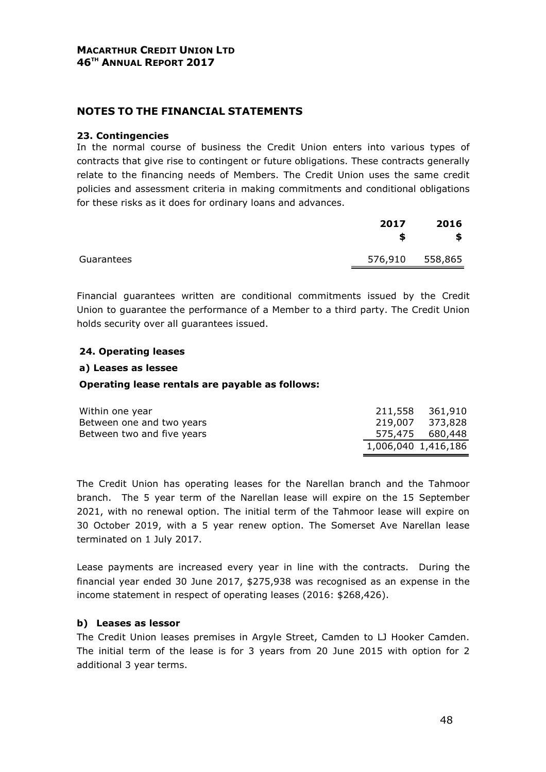#### NOTES TO THE FINANCIAL STATEMENTS

#### 23. Contingencies

In the normal course of business the Credit Union enters into various types of contracts that give rise to contingent or future obligations. These contracts generally relate to the financing needs of Members. The Credit Union uses the same credit policies and assessment criteria in making commitments and conditional obligations for these risks as it does for ordinary loans and advances.

|            | 2017    | 2016<br>S |
|------------|---------|-----------|
| Guarantees | 576,910 | 558,865   |

Financial guarantees written are conditional commitments issued by the Credit Union to guarantee the performance of a Member to a third party. The Credit Union holds security over all guarantees issued.

#### 24. Operating leases

#### a) Leases as lessee

#### Operating lease rentals are payable as follows:

| Within one year            |                     | 211,558 361,910 |
|----------------------------|---------------------|-----------------|
| Between one and two years  |                     | 219,007 373,828 |
| Between two and five years |                     | 575,475 680,448 |
|                            | 1,006,040 1,416,186 |                 |

The Credit Union has operating leases for the Narellan branch and the Tahmoor branch. The 5 year term of the Narellan lease will expire on the 15 September 2021, with no renewal option. The initial term of the Tahmoor lease will expire on 30 October 2019, with a 5 year renew option. The Somerset Ave Narellan lease terminated on 1 July 2017.

Lease payments are increased every year in line with the contracts. During the financial year ended 30 June 2017, \$275,938 was recognised as an expense in the income statement in respect of operating leases (2016: \$268,426).

#### b) Leases as lessor

The Credit Union leases premises in Argyle Street, Camden to LJ Hooker Camden. The initial term of the lease is for 3 years from 20 June 2015 with option for 2 additional 3 year terms.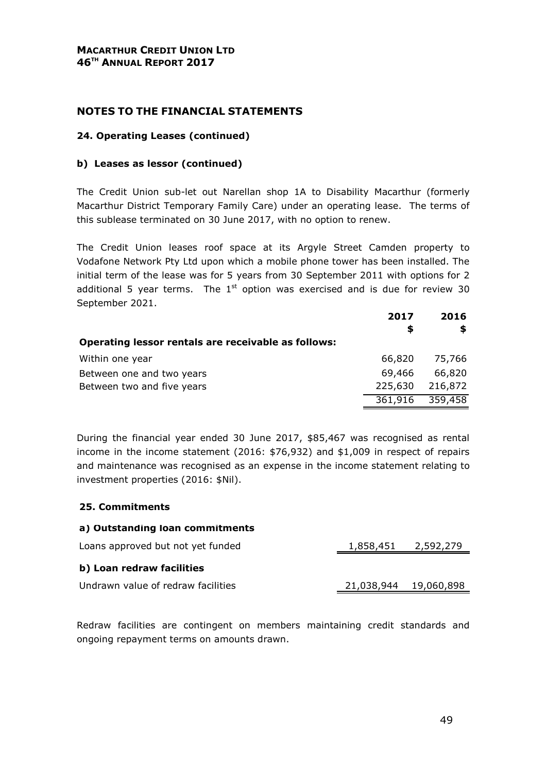#### NOTES TO THE FINANCIAL STATEMENTS

#### 24. Operating Leases (continued)

#### b) Leases as lessor (continued)

The Credit Union sub-let out Narellan shop 1A to Disability Macarthur (formerly Macarthur District Temporary Family Care) under an operating lease. The terms of this sublease terminated on 30 June 2017, with no option to renew.

The Credit Union leases roof space at its Argyle Street Camden property to Vodafone Network Pty Ltd upon which a mobile phone tower has been installed. The initial term of the lease was for 5 years from 30 September 2011 with options for 2 additional 5 year terms. The  $1<sup>st</sup>$  option was exercised and is due for review 30 September 2021.

|                                                     | 2017<br>S | 2016<br>S |
|-----------------------------------------------------|-----------|-----------|
| Operating lessor rentals are receivable as follows: |           |           |
| Within one year                                     | 66,820    | 75,766    |
| Between one and two years                           | 69,466    | 66,820    |
| Between two and five years                          | 225,630   | 216,872   |
|                                                     | 361,916   | 359,458   |

During the financial year ended 30 June 2017, \$85,467 was recognised as rental income in the income statement (2016: \$76,932) and \$1,009 in respect of repairs and maintenance was recognised as an expense in the income statement relating to investment properties (2016: \$Nil).

#### 25. Commitments

#### a) Outstanding loan commitments

| Loans approved but not yet funded  | 1,858,451             | 2,592,279 |
|------------------------------------|-----------------------|-----------|
| b) Loan redraw facilities          |                       |           |
| Undrawn value of redraw facilities | 21,038,944 19,060,898 |           |

Redraw facilities are contingent on members maintaining credit standards and ongoing repayment terms on amounts drawn.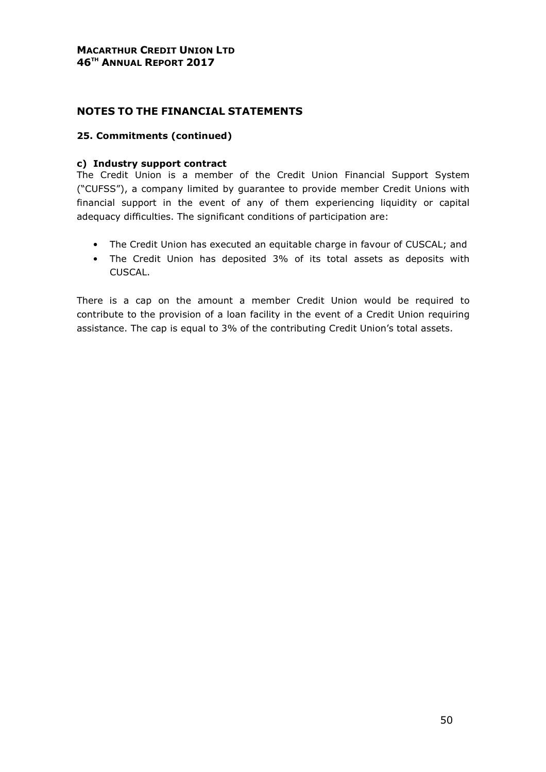#### NOTES TO THE FINANCIAL STATEMENTS

#### 25. Commitments (continued)

#### c) Industry support contract

The Credit Union is a member of the Credit Union Financial Support System ("CUFSS"), a company limited by guarantee to provide member Credit Unions with financial support in the event of any of them experiencing liquidity or capital adequacy difficulties. The significant conditions of participation are:

- The Credit Union has executed an equitable charge in favour of CUSCAL; and
- The Credit Union has deposited 3% of its total assets as deposits with CUSCAL.

There is a cap on the amount a member Credit Union would be required to contribute to the provision of a loan facility in the event of a Credit Union requiring assistance. The cap is equal to 3% of the contributing Credit Union's total assets.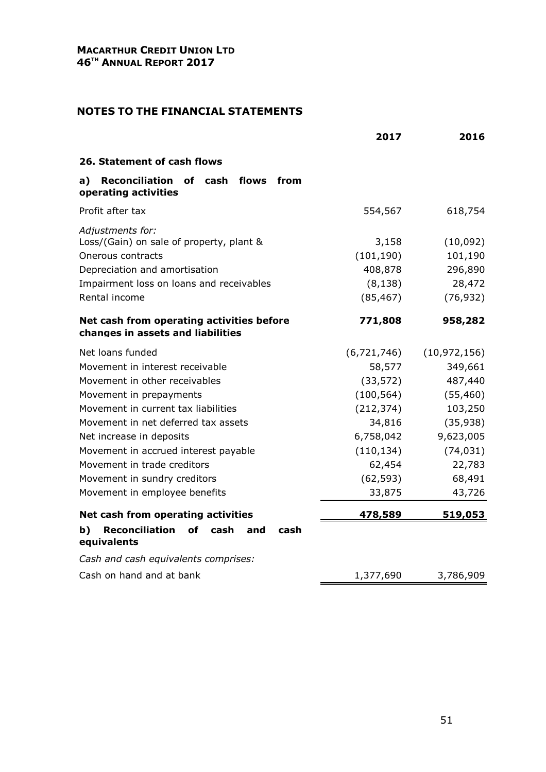|                                                                                                                                                                                                                                                                                                                                                                   | 2017                                                                                                                                   | 2016                                                                                                                              |
|-------------------------------------------------------------------------------------------------------------------------------------------------------------------------------------------------------------------------------------------------------------------------------------------------------------------------------------------------------------------|----------------------------------------------------------------------------------------------------------------------------------------|-----------------------------------------------------------------------------------------------------------------------------------|
| 26. Statement of cash flows                                                                                                                                                                                                                                                                                                                                       |                                                                                                                                        |                                                                                                                                   |
| flows<br>a)<br>Reconciliation of cash<br>from<br>operating activities                                                                                                                                                                                                                                                                                             |                                                                                                                                        |                                                                                                                                   |
| Profit after tax                                                                                                                                                                                                                                                                                                                                                  | 554,567                                                                                                                                | 618,754                                                                                                                           |
| Adjustments for:<br>Loss/(Gain) on sale of property, plant &<br>Onerous contracts<br>Depreciation and amortisation<br>Impairment loss on loans and receivables<br>Rental income                                                                                                                                                                                   | 3,158<br>(101, 190)<br>408,878<br>(8, 138)<br>(85, 467)                                                                                | (10,092)<br>101,190<br>296,890<br>28,472<br>(76, 932)                                                                             |
| Net cash from operating activities before<br>changes in assets and liabilities                                                                                                                                                                                                                                                                                    | 771,808                                                                                                                                | 958,282                                                                                                                           |
| Net loans funded<br>Movement in interest receivable<br>Movement in other receivables<br>Movement in prepayments<br>Movement in current tax liabilities<br>Movement in net deferred tax assets<br>Net increase in deposits<br>Movement in accrued interest payable<br>Movement in trade creditors<br>Movement in sundry creditors<br>Movement in employee benefits | (6, 721, 746)<br>58,577<br>(33, 572)<br>(100, 564)<br>(212, 374)<br>34,816<br>6,758,042<br>(110, 134)<br>62,454<br>(62, 593)<br>33,875 | (10, 972, 156)<br>349,661<br>487,440<br>(55, 460)<br>103,250<br>(35, 938)<br>9,623,005<br>(74, 031)<br>22,783<br>68,491<br>43,726 |
| Net cash from operating activities                                                                                                                                                                                                                                                                                                                                | 478,589                                                                                                                                | 519,053                                                                                                                           |
| <b>Reconciliation</b><br>b)<br>οf<br>cash<br>cash<br>and<br>equivalents                                                                                                                                                                                                                                                                                           |                                                                                                                                        |                                                                                                                                   |
| Cash and cash equivalents comprises:<br>Cash on hand and at bank                                                                                                                                                                                                                                                                                                  | 1,377,690                                                                                                                              | 3,786,909                                                                                                                         |
|                                                                                                                                                                                                                                                                                                                                                                   |                                                                                                                                        |                                                                                                                                   |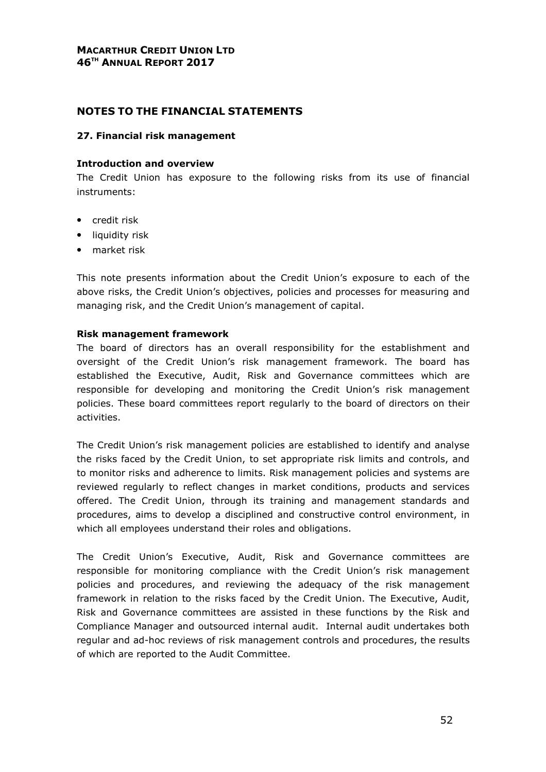#### NOTES TO THE FINANCIAL STATEMENTS

#### 27. Financial risk management

#### Introduction and overview

The Credit Union has exposure to the following risks from its use of financial instruments:

- credit risk
- liquidity risk
- market risk

This note presents information about the Credit Union's exposure to each of the above risks, the Credit Union's objectives, policies and processes for measuring and managing risk, and the Credit Union's management of capital.

#### Risk management framework

The board of directors has an overall responsibility for the establishment and oversight of the Credit Union's risk management framework. The board has established the Executive, Audit, Risk and Governance committees which are responsible for developing and monitoring the Credit Union's risk management policies. These board committees report regularly to the board of directors on their activities.

The Credit Union's risk management policies are established to identify and analyse the risks faced by the Credit Union, to set appropriate risk limits and controls, and to monitor risks and adherence to limits. Risk management policies and systems are reviewed regularly to reflect changes in market conditions, products and services offered. The Credit Union, through its training and management standards and procedures, aims to develop a disciplined and constructive control environment, in which all employees understand their roles and obligations.

The Credit Union's Executive, Audit, Risk and Governance committees are responsible for monitoring compliance with the Credit Union's risk management policies and procedures, and reviewing the adequacy of the risk management framework in relation to the risks faced by the Credit Union. The Executive, Audit, Risk and Governance committees are assisted in these functions by the Risk and Compliance Manager and outsourced internal audit. Internal audit undertakes both regular and ad-hoc reviews of risk management controls and procedures, the results of which are reported to the Audit Committee.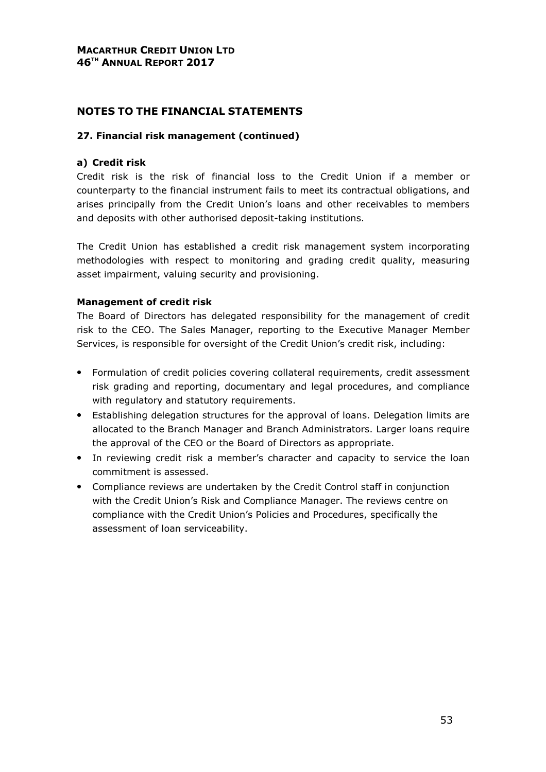#### NOTES TO THE FINANCIAL STATEMENTS

#### 27. Financial risk management (continued)

#### a) Credit risk

Credit risk is the risk of financial loss to the Credit Union if a member or counterparty to the financial instrument fails to meet its contractual obligations, and arises principally from the Credit Union's loans and other receivables to members and deposits with other authorised deposit-taking institutions.

The Credit Union has established a credit risk management system incorporating methodologies with respect to monitoring and grading credit quality, measuring asset impairment, valuing security and provisioning.

#### Management of credit risk

The Board of Directors has delegated responsibility for the management of credit risk to the CEO. The Sales Manager, reporting to the Executive Manager Member Services, is responsible for oversight of the Credit Union's credit risk, including:

- Formulation of credit policies covering collateral requirements, credit assessment risk grading and reporting, documentary and legal procedures, and compliance with regulatory and statutory requirements.
- Establishing delegation structures for the approval of loans. Delegation limits are allocated to the Branch Manager and Branch Administrators. Larger loans require the approval of the CEO or the Board of Directors as appropriate.
- In reviewing credit risk a member's character and capacity to service the loan commitment is assessed.
- Compliance reviews are undertaken by the Credit Control staff in conjunction with the Credit Union's Risk and Compliance Manager. The reviews centre on compliance with the Credit Union's Policies and Procedures, specifically the assessment of loan serviceability.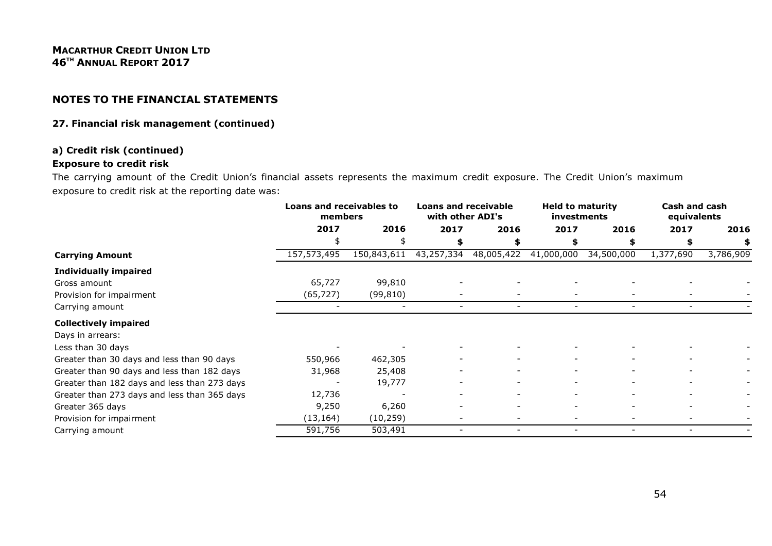#### 27. Financial risk management (continued)

#### a) Credit risk (continued)

#### Exposure to credit risk

 The carrying amount of the Credit Union's financial assets represents the maximum credit exposure. The Credit Union's maximum exposure to credit risk at the reporting date was:

|                                              | Loans and receivables to<br>members |             | <b>Loans and receivable</b><br>with other ADI's |            | <b>Held to maturity</b><br>investments |                          | Cash and cash<br>equivalents |           |
|----------------------------------------------|-------------------------------------|-------------|-------------------------------------------------|------------|----------------------------------------|--------------------------|------------------------------|-----------|
|                                              | 2017                                | 2016        | 2017                                            | 2016       | 2017                                   | 2016                     | 2017                         | 2016      |
|                                              | \$                                  |             |                                                 |            |                                        |                          |                              |           |
| <b>Carrying Amount</b>                       | 157,573,495                         | 150,843,611 | 43,257,334                                      | 48,005,422 | 41,000,000                             | 34,500,000               | 1,377,690                    | 3,786,909 |
| <b>Individually impaired</b>                 |                                     |             |                                                 |            |                                        |                          |                              |           |
| Gross amount                                 | 65,727                              | 99,810      |                                                 |            |                                        |                          |                              |           |
| Provision for impairment                     | (65, 727)                           | (99, 810)   |                                                 |            |                                        |                          |                              |           |
| Carrying amount                              |                                     |             |                                                 |            |                                        |                          |                              |           |
| <b>Collectively impaired</b>                 |                                     |             |                                                 |            |                                        |                          |                              |           |
| Days in arrears:                             |                                     |             |                                                 |            |                                        |                          |                              |           |
| Less than 30 days                            |                                     |             |                                                 |            |                                        |                          |                              |           |
| Greater than 30 days and less than 90 days   | 550,966                             | 462,305     |                                                 |            |                                        |                          |                              |           |
| Greater than 90 days and less than 182 days  | 31,968                              | 25,408      |                                                 |            |                                        |                          |                              |           |
| Greater than 182 days and less than 273 days |                                     | 19,777      |                                                 |            |                                        |                          |                              |           |
| Greater than 273 days and less than 365 days | 12,736                              |             |                                                 |            |                                        |                          |                              |           |
| Greater 365 days                             | 9,250                               | 6,260       |                                                 |            |                                        |                          |                              |           |
| Provision for impairment                     | (13, 164)                           | (10, 259)   |                                                 |            |                                        |                          |                              |           |
| Carrying amount                              | 591,756                             | 503,491     |                                                 |            | $\overline{\phantom{0}}$               | $\overline{\phantom{0}}$ |                              |           |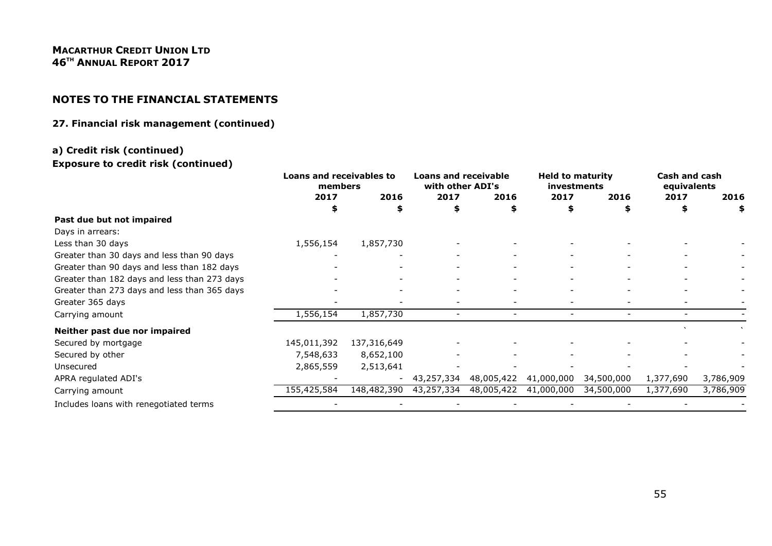# NOTES TO THE FINANCIAL STATEMENTS

#### 27. Financial risk management (continued)

#### a) Credit risk (continued)

#### Exposure to credit risk (continued)

|                                              | <b>Loans and receivables to</b><br>members |                          | <b>Loans and receivable</b><br>with other ADI's |                          | <b>Held to maturity</b><br>investments |                          | Cash and cash<br>equivalents |           |
|----------------------------------------------|--------------------------------------------|--------------------------|-------------------------------------------------|--------------------------|----------------------------------------|--------------------------|------------------------------|-----------|
|                                              | 2017                                       | 2016                     | 2017                                            | 2016                     | 2017                                   | 2016                     | 2017                         | 2016      |
|                                              | S                                          |                          | \$                                              | \$                       | S                                      |                          | S                            | \$        |
| Past due but not impaired                    |                                            |                          |                                                 |                          |                                        |                          |                              |           |
| Days in arrears:                             |                                            |                          |                                                 |                          |                                        |                          |                              |           |
| Less than 30 days                            | 1,556,154                                  | 1,857,730                |                                                 |                          |                                        |                          |                              |           |
| Greater than 30 days and less than 90 days   |                                            |                          |                                                 |                          |                                        |                          |                              |           |
| Greater than 90 days and less than 182 days  |                                            |                          |                                                 |                          |                                        |                          |                              |           |
| Greater than 182 days and less than 273 days |                                            |                          |                                                 |                          |                                        |                          |                              |           |
| Greater than 273 days and less than 365 days |                                            |                          |                                                 |                          |                                        |                          |                              |           |
| Greater 365 days                             |                                            |                          |                                                 |                          |                                        |                          |                              |           |
| Carrying amount                              | 1,556,154                                  | 1,857,730                | $\overline{\phantom{0}}$                        | $\overline{\phantom{0}}$ | $\overline{\phantom{0}}$               | $\overline{\phantom{0}}$ | $\overline{\phantom{0}}$     |           |
| Neither past due nor impaired                |                                            |                          |                                                 |                          |                                        |                          |                              |           |
| Secured by mortgage                          | 145,011,392                                | 137,316,649              |                                                 |                          |                                        |                          |                              |           |
| Secured by other                             | 7,548,633                                  | 8,652,100                |                                                 |                          |                                        |                          |                              |           |
| Unsecured                                    | 2,865,559                                  | 2,513,641                |                                                 |                          |                                        |                          |                              |           |
| APRA regulated ADI's                         |                                            | $\overline{\phantom{a}}$ | 43,257,334                                      | 48,005,422               | 41,000,000                             | 34,500,000               | 1,377,690                    | 3,786,909 |
| Carrying amount                              | 155,425,584                                | 148,482,390              | 43,257,334                                      | 48,005,422               | 41,000,000                             | 34,500,000               | 1,377,690                    | 3,786,909 |
| Includes loans with renegotiated terms       |                                            |                          |                                                 |                          |                                        |                          |                              |           |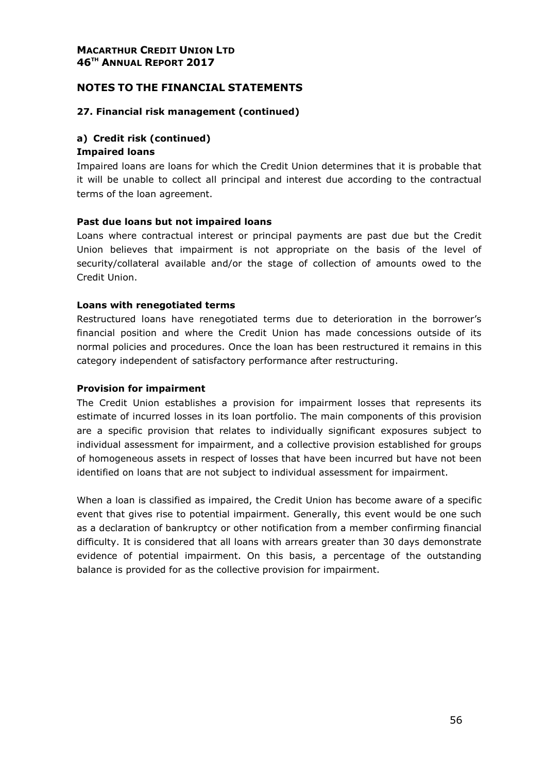#### NOTES TO THE FINANCIAL STATEMENTS

#### 27. Financial risk management (continued)

#### a) Credit risk (continued)

#### Impaired loans

Impaired loans are loans for which the Credit Union determines that it is probable that it will be unable to collect all principal and interest due according to the contractual terms of the loan agreement.

#### Past due loans but not impaired loans

Loans where contractual interest or principal payments are past due but the Credit Union believes that impairment is not appropriate on the basis of the level of security/collateral available and/or the stage of collection of amounts owed to the Credit Union.

#### Loans with renegotiated terms

Restructured loans have renegotiated terms due to deterioration in the borrower's financial position and where the Credit Union has made concessions outside of its normal policies and procedures. Once the loan has been restructured it remains in this category independent of satisfactory performance after restructuring.

#### Provision for impairment

The Credit Union establishes a provision for impairment losses that represents its estimate of incurred losses in its loan portfolio. The main components of this provision are a specific provision that relates to individually significant exposures subject to individual assessment for impairment, and a collective provision established for groups of homogeneous assets in respect of losses that have been incurred but have not been identified on loans that are not subject to individual assessment for impairment.

When a loan is classified as impaired, the Credit Union has become aware of a specific event that gives rise to potential impairment. Generally, this event would be one such as a declaration of bankruptcy or other notification from a member confirming financial difficulty. It is considered that all loans with arrears greater than 30 days demonstrate evidence of potential impairment. On this basis, a percentage of the outstanding balance is provided for as the collective provision for impairment.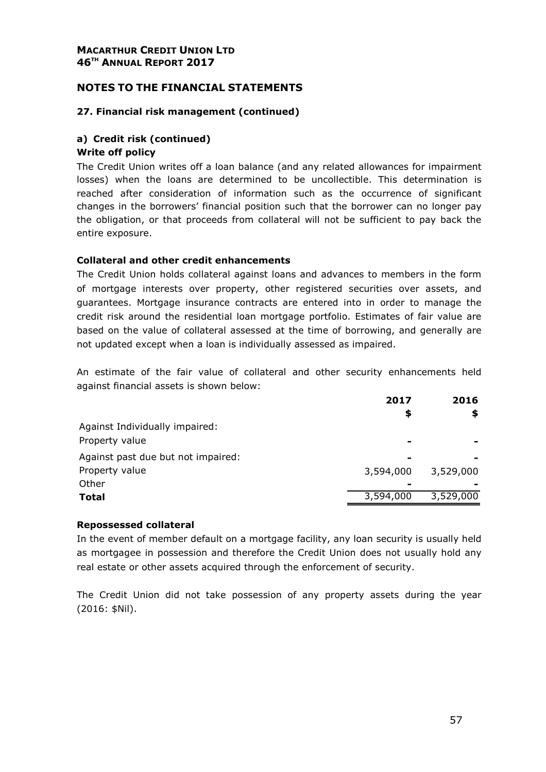#### NOTES TO THE FINANCIAL STATEMENTS

#### 27. Financial risk management (continued)

## a) Credit risk (continued)

#### Write off policy

The Credit Union writes off a loan balance (and any related allowances for impairment losses) when the loans are determined to be uncollectible. This determination is reached after consideration of information such as the occurrence of significant changes in the borrowers' financial position such that the borrower can no longer pay the obligation, or that proceeds from collateral will not be sufficient to pay back the entire exposure.

#### Collateral and other credit enhancements

The Credit Union holds collateral against loans and advances to members in the form of mortgage interests over property, other registered securities over assets, and guarantees. Mortgage insurance contracts are entered into in order to manage the credit risk around the residential loan mortgage portfolio. Estimates of fair value are based on the value of collateral assessed at the time of borrowing, and generally are not updated except when a loan is individually assessed as impaired.

An estimate of the fair value of collateral and other security enhancements held against financial assets is shown below:

|                                    | 2017<br>\$ | 2016<br>\$ |
|------------------------------------|------------|------------|
| Against Individually impaired:     |            |            |
| Property value                     |            |            |
| Against past due but not impaired: | -          |            |
| Property value                     | 3,594,000  | 3,529,000  |
| Other                              |            |            |
| <b>Total</b>                       | 3,594,000  | 3,529,000  |
|                                    |            |            |

#### Repossessed collateral

In the event of member default on a mortgage facility, any loan security is usually held as mortgagee in possession and therefore the Credit Union does not usually hold any real estate or other assets acquired through the enforcement of security.

The Credit Union did not take possession of any property assets during the year (2016: \$Nil).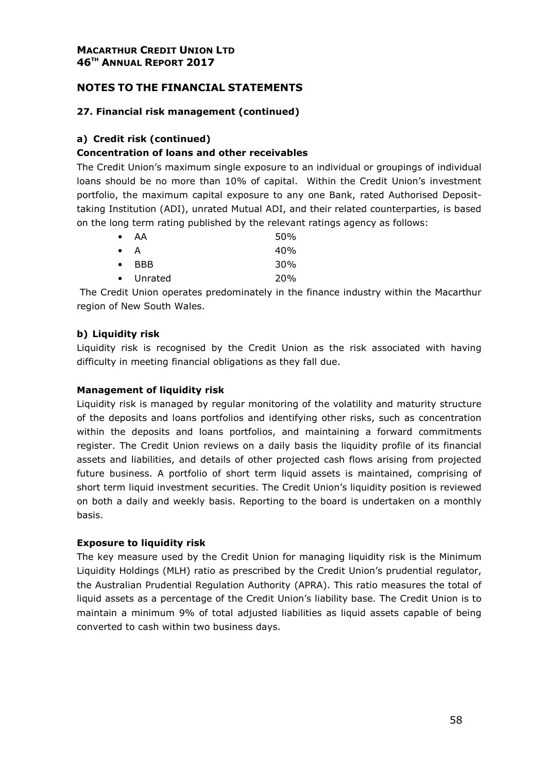#### 27. Financial risk management (continued)

#### a) Credit risk (continued)

#### Concentration of loans and other receivables

The Credit Union's maximum single exposure to an individual or groupings of individual loans should be no more than 10% of capital. Within the Credit Union's investment portfolio, the maximum capital exposure to any one Bank, rated Authorised Deposittaking Institution (ADI), unrated Mutual ADI, and their related counterparties, is based on the long term rating published by the relevant ratings agency as follows:

| $\bullet$   | AA            | 50%        |
|-------------|---------------|------------|
| $\bullet$ A |               | 40%        |
|             | $\bullet$ RBB | 30%        |
|             | • Unrated     | <b>20%</b> |

 The Credit Union operates predominately in the finance industry within the Macarthur region of New South Wales.

#### b) Liquidity risk

Liquidity risk is recognised by the Credit Union as the risk associated with having difficulty in meeting financial obligations as they fall due.

#### Management of liquidity risk

Liquidity risk is managed by regular monitoring of the volatility and maturity structure of the deposits and loans portfolios and identifying other risks, such as concentration within the deposits and loans portfolios, and maintaining a forward commitments register. The Credit Union reviews on a daily basis the liquidity profile of its financial assets and liabilities, and details of other projected cash flows arising from projected future business. A portfolio of short term liquid assets is maintained, comprising of short term liquid investment securities. The Credit Union's liquidity position is reviewed on both a daily and weekly basis. Reporting to the board is undertaken on a monthly basis.

#### Exposure to liquidity risk

The key measure used by the Credit Union for managing liquidity risk is the Minimum Liquidity Holdings (MLH) ratio as prescribed by the Credit Union's prudential regulator, the Australian Prudential Regulation Authority (APRA). This ratio measures the total of liquid assets as a percentage of the Credit Union's liability base. The Credit Union is to maintain a minimum 9% of total adjusted liabilities as liquid assets capable of being converted to cash within two business days.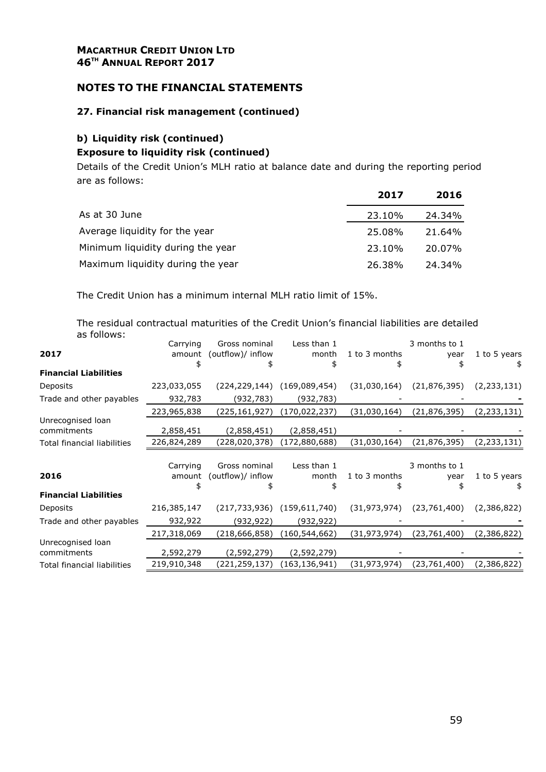#### MACARTHUR CREDIT UNION LTD 46<sup>TH</sup> ANNUAL REPORT 2017

#### NOTES TO THE FINANCIAL STATEMENTS

#### 27. Financial risk management (continued)

#### b) Liquidity risk (continued)

#### Exposure to liquidity risk (continued)

Details of the Credit Union's MLH ratio at balance date and during the reporting period are as follows:

|                                   | 2017   | 2016   |
|-----------------------------------|--------|--------|
| As at 30 June                     | 23.10% | 24.34% |
| Average liquidity for the year    | 25.08% | 21.64% |
| Minimum liquidity during the year | 23.10% | 20.07% |
| Maximum liquidity during the year | 26.38% | 24.34% |

The Credit Union has a minimum internal MLH ratio limit of 15%.

The residual contractual maturities of the Credit Union's financial liabilities are detailed as follows:

|                                    | Carrying    | Gross nominal     | Less than 1     |                | 3 months to 1  |              |
|------------------------------------|-------------|-------------------|-----------------|----------------|----------------|--------------|
| 2017                               | amount      | (outflow)/ inflow | month           | 1 to 3 months  | year           | 1 to 5 years |
|                                    |             |                   | \$              |                |                | \$           |
| <b>Financial Liabilities</b>       |             |                   |                 |                |                |              |
| Deposits                           | 223,033,055 | (224, 229, 144)   | (169,089,454)   | (31,030,164)   | (21, 876, 395) | (2,233,131)  |
| Trade and other payables           | 932,783     | (932,783)         | (932, 783)      |                |                |              |
|                                    | 223,965,838 | (225,161,927)     | (170, 022, 237) | (31,030,164)   | (21,876,395)   | (2,233,131)  |
| Unrecognised loan                  |             |                   |                 |                |                |              |
| commitments                        | 2,858,451   | (2,858,451)       | (2,858,451)     |                |                |              |
| Total financial liabilities        | 226,824,289 | (228,020,378)     | (172,880,688)   | (31,030,164)   | (21,876,395)   | (2,233,131)  |
|                                    |             |                   |                 |                |                |              |
|                                    | Carrying    | Gross nominal     | Less than 1     |                | 3 months to 1  |              |
| 2016                               | amount      | (outflow)/ inflow | month           | 1 to 3 months  | year           | 1 to 5 years |
|                                    |             |                   |                 |                |                | \$           |
| <b>Financial Liabilities</b>       |             |                   |                 |                |                |              |
| Deposits                           | 216,385,147 | (217, 733, 936)   | (159,611,740)   | (31, 973, 974) | (23, 761, 400) | (2,386,822)  |
| Trade and other payables           | 932,922     | (932,922)         | (932, 922)      |                |                |              |
|                                    | 217,318,069 | (218,666,858)     | (160, 544, 662) | (31,973,974)   | (23,761,400)   | (2,386,822)  |
| Unrecognised loan                  |             |                   |                 |                |                |              |
| commitments                        | 2,592,279   | (2,592,279)       | (2,592,279)     |                |                |              |
| <b>Total financial liabilities</b> | 219,910,348 | (221,259,137)     | (163, 136, 941) | (31,973,974)   | (23, 761, 400) | (2,386,822)  |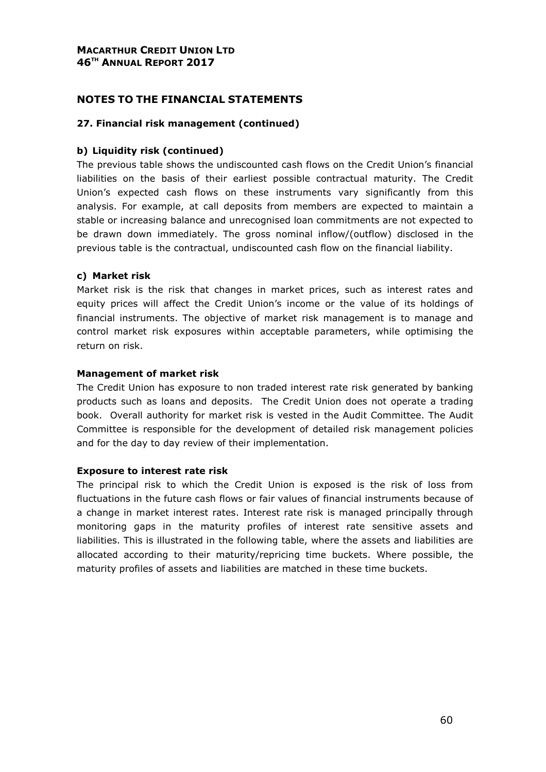#### NOTES TO THE FINANCIAL STATEMENTS

#### 27. Financial risk management (continued)

#### b) Liquidity risk (continued)

The previous table shows the undiscounted cash flows on the Credit Union's financial liabilities on the basis of their earliest possible contractual maturity. The Credit Union's expected cash flows on these instruments vary significantly from this analysis. For example, at call deposits from members are expected to maintain a stable or increasing balance and unrecognised loan commitments are not expected to be drawn down immediately. The gross nominal inflow/(outflow) disclosed in the previous table is the contractual, undiscounted cash flow on the financial liability.

#### c) Market risk

Market risk is the risk that changes in market prices, such as interest rates and equity prices will affect the Credit Union's income or the value of its holdings of financial instruments. The objective of market risk management is to manage and control market risk exposures within acceptable parameters, while optimising the return on risk.

#### Management of market risk

The Credit Union has exposure to non traded interest rate risk generated by banking products such as loans and deposits. The Credit Union does not operate a trading book. Overall authority for market risk is vested in the Audit Committee. The Audit Committee is responsible for the development of detailed risk management policies and for the day to day review of their implementation.

#### Exposure to interest rate risk

The principal risk to which the Credit Union is exposed is the risk of loss from fluctuations in the future cash flows or fair values of financial instruments because of a change in market interest rates. Interest rate risk is managed principally through monitoring gaps in the maturity profiles of interest rate sensitive assets and liabilities. This is illustrated in the following table, where the assets and liabilities are allocated according to their maturity/repricing time buckets. Where possible, the maturity profiles of assets and liabilities are matched in these time buckets.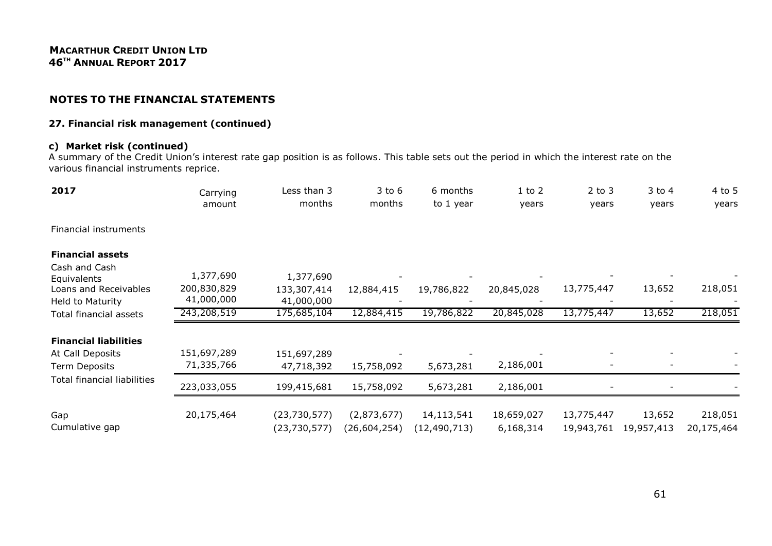#### 27. Financial risk management (continued)

# c) Market risk (continued)

A summary of the Credit Union's interest rate gap position is as follows. This table sets out the period in which the interest rate on the various financial instruments reprice.

| 2017                                                              | Carrying<br>amount                     | Less than 3<br>months                  | $3$ to $6$<br>months        | 6 months<br>to 1 year        | $1$ to $2$<br>years     | $2$ to $3$<br>years      | $3$ to $4$<br>years  | $4$ to 5<br>years     |
|-------------------------------------------------------------------|----------------------------------------|----------------------------------------|-----------------------------|------------------------------|-------------------------|--------------------------|----------------------|-----------------------|
| Financial instruments                                             |                                        |                                        |                             |                              |                         |                          |                      |                       |
| <b>Financial assets</b><br>Cash and Cash                          |                                        |                                        |                             |                              |                         |                          |                      |                       |
| Equivalents<br>Loans and Receivables<br>Held to Maturity          | 1,377,690<br>200,830,829<br>41,000,000 | 1,377,690<br>133,307,414<br>41,000,000 | 12,884,415                  | 19,786,822                   | 20,845,028              | 13,775,447               | 13,652               | 218,051               |
| Total financial assets                                            | 243,208,519                            | 175,685,104                            | 12,884,415                  | 19,786,822                   | 20,845,028              | 13,775,447               | 13,652               | 218,051               |
| <b>Financial liabilities</b><br>At Call Deposits<br>Term Deposits | 151,697,289<br>71,335,766              | 151,697,289<br>47,718,392              | 15,758,092                  | 5,673,281                    | 2,186,001               |                          |                      |                       |
| Total financial liabilities                                       | 223,033,055                            | 199,415,681                            | 15,758,092                  | 5,673,281                    | 2,186,001               |                          |                      |                       |
| Gap<br>Cumulative gap                                             | 20,175,464                             | (23,730,577)<br>(23,730,577)           | (2,873,677)<br>(26,604,254) | 14,113,541<br>(12, 490, 713) | 18,659,027<br>6,168,314 | 13,775,447<br>19,943,761 | 13,652<br>19,957,413 | 218,051<br>20,175,464 |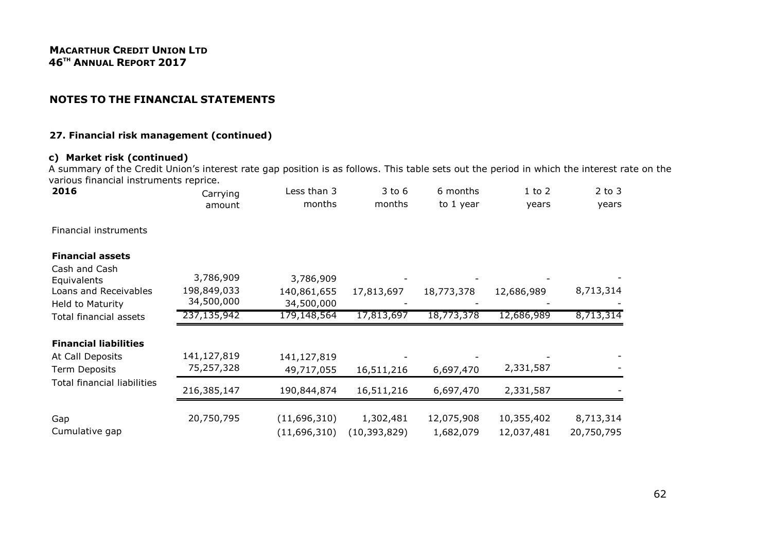#### 27. Financial risk management (continued)

## c) Market risk (continued)

A summary of the Credit Union's interest rate gap position is as follows. This table sets out the period in which the interest rate on the various financial instruments reprice.

| 2016                               | Carrying<br>amount        | Less than 3<br>months     | $3$ to $6$<br>months | 6 months<br>to 1 year | $1$ to $2$<br>years | $2$ to $3$<br>years |
|------------------------------------|---------------------------|---------------------------|----------------------|-----------------------|---------------------|---------------------|
| Financial instruments              |                           |                           |                      |                       |                     |                     |
| <b>Financial assets</b>            |                           |                           |                      |                       |                     |                     |
| Cash and Cash<br>Equivalents       | 3,786,909                 | 3,786,909                 |                      |                       |                     |                     |
| Loans and Receivables              | 198,849,033               | 140,861,655               | 17,813,697           | 18,773,378            | 12,686,989          | 8,713,314           |
| Held to Maturity                   | 34,500,000<br>237,135,942 | 34,500,000<br>179,148,564 | 17,813,697           | 18,773,378            | 12,686,989          | 8,713,314           |
| Total financial assets             |                           |                           |                      |                       |                     |                     |
| <b>Financial liabilities</b>       |                           |                           |                      |                       |                     |                     |
| At Call Deposits                   | 141,127,819               | 141,127,819               |                      |                       |                     |                     |
| Term Deposits                      | 75,257,328                | 49,717,055                | 16,511,216           | 6,697,470             | 2,331,587           |                     |
| <b>Total financial liabilities</b> | 216,385,147               | 190,844,874               | 16,511,216           | 6,697,470             | 2,331,587           |                     |
| Gap                                | 20,750,795                | (11,696,310)              | 1,302,481            | 12,075,908            | 10,355,402          | 8,713,314           |
| Cumulative gap                     |                           | (11,696,310)              | (10, 393, 829)       | 1,682,079             | 12,037,481          | 20,750,795          |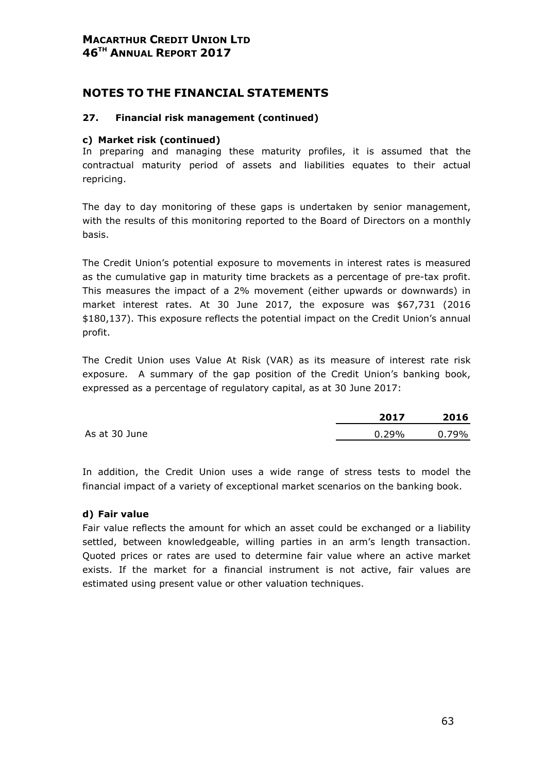# NOTES TO THE FINANCIAL STATEMENTS

#### 27. Financial risk management (continued)

#### c) Market risk (continued)

In preparing and managing these maturity profiles, it is assumed that the contractual maturity period of assets and liabilities equates to their actual repricing.

The day to day monitoring of these gaps is undertaken by senior management, with the results of this monitoring reported to the Board of Directors on a monthly basis.

The Credit Union's potential exposure to movements in interest rates is measured as the cumulative gap in maturity time brackets as a percentage of pre-tax profit. This measures the impact of a 2% movement (either upwards or downwards) in market interest rates. At 30 June 2017, the exposure was \$67,731 (2016 \$180,137). This exposure reflects the potential impact on the Credit Union's annual profit.

The Credit Union uses Value At Risk (VAR) as its measure of interest rate risk exposure. A summary of the gap position of the Credit Union's banking book, expressed as a percentage of regulatory capital, as at 30 June 2017:

|               | 2017     | 2016     |
|---------------|----------|----------|
| As at 30 June | $0.29\%$ | $0.79\%$ |

In addition, the Credit Union uses a wide range of stress tests to model the financial impact of a variety of exceptional market scenarios on the banking book.

#### d) Fair value

Fair value reflects the amount for which an asset could be exchanged or a liability settled, between knowledgeable, willing parties in an arm's length transaction. Quoted prices or rates are used to determine fair value where an active market exists. If the market for a financial instrument is not active, fair values are estimated using present value or other valuation techniques.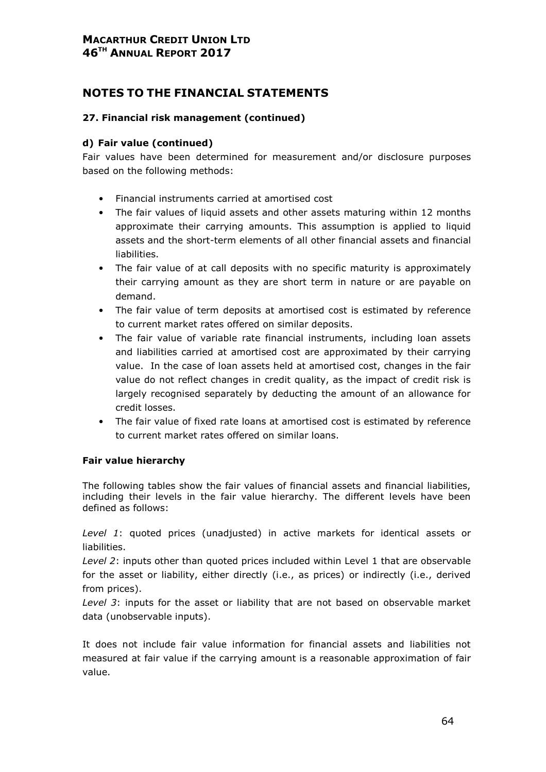# NOTES TO THE FINANCIAL STATEMENTS

#### 27. Financial risk management (continued)

#### d) Fair value (continued)

Fair values have been determined for measurement and/or disclosure purposes based on the following methods:

- Financial instruments carried at amortised cost
- The fair values of liquid assets and other assets maturing within 12 months approximate their carrying amounts. This assumption is applied to liquid assets and the short-term elements of all other financial assets and financial liabilities.
- The fair value of at call deposits with no specific maturity is approximately their carrying amount as they are short term in nature or are payable on demand.
- The fair value of term deposits at amortised cost is estimated by reference to current market rates offered on similar deposits.
- The fair value of variable rate financial instruments, including loan assets and liabilities carried at amortised cost are approximated by their carrying value. In the case of loan assets held at amortised cost, changes in the fair value do not reflect changes in credit quality, as the impact of credit risk is largely recognised separately by deducting the amount of an allowance for credit losses.
- The fair value of fixed rate loans at amortised cost is estimated by reference to current market rates offered on similar loans.

#### Fair value hierarchy

The following tables show the fair values of financial assets and financial liabilities, including their levels in the fair value hierarchy. The different levels have been defined as follows:

Level 1: quoted prices (unadjusted) in active markets for identical assets or liabilities.

Level 2: inputs other than quoted prices included within Level 1 that are observable for the asset or liability, either directly (i.e., as prices) or indirectly (i.e., derived from prices).

Level 3: inputs for the asset or liability that are not based on observable market data (unobservable inputs).

It does not include fair value information for financial assets and liabilities not measured at fair value if the carrying amount is a reasonable approximation of fair value.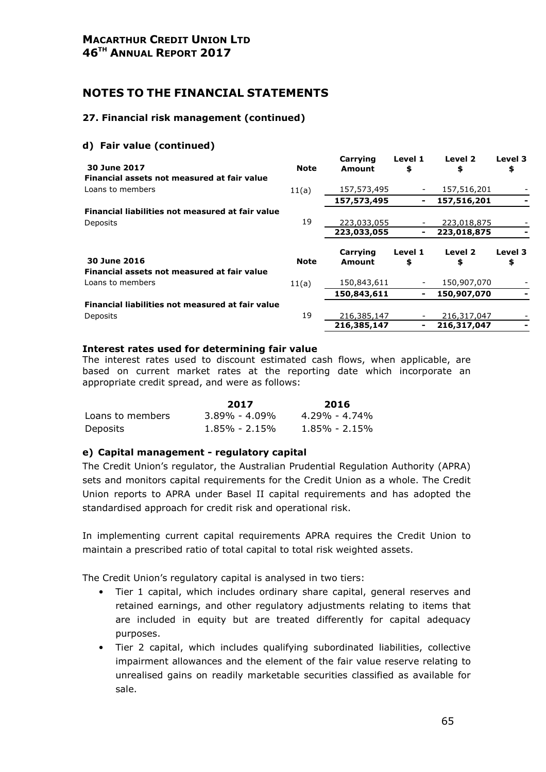#### 27. Financial risk management (continued)

#### d) Fair value (continued)

| 30 June 2017                                     | <b>Note</b> | Carrying<br>Amount | Level 1<br>\$ | Level 2<br>\$ | Level 3<br>\$ |
|--------------------------------------------------|-------------|--------------------|---------------|---------------|---------------|
| Financial assets not measured at fair value      |             |                    |               |               |               |
| Loans to members                                 | 11(a)       | 157,573,495        |               | 157,516,201   |               |
|                                                  |             | 157,573,495        | ۰             | 157,516,201   |               |
| Financial liabilities not measured at fair value |             |                    |               |               |               |
| Deposits                                         | 19          | 223,033,055        |               | 223,018,875   |               |
|                                                  |             | 223,033,055        | ۰             | 223,018,875   |               |
| 30 June 2016                                     | <b>Note</b> | Carrying<br>Amount | Level 1<br>\$ | Level 2<br>\$ | Level 3<br>\$ |
| Financial assets not measured at fair value      |             |                    |               |               |               |
| Loans to members                                 | 11(a)       | 150,843,611        |               | 150,907,070   |               |
|                                                  |             | 150,843,611        |               | 150,907,070   |               |
| Financial liabilities not measured at fair value |             |                    |               |               |               |
| Deposits                                         | 19          | 216,385,147        |               | 216,317,047   |               |
|                                                  |             | 216,385,147        |               | 216,317,047   |               |
|                                                  |             |                    |               |               |               |

#### Interest rates used for determining fair value

The interest rates used to discount estimated cash flows, when applicable, are based on current market rates at the reporting date which incorporate an appropriate credit spread, and were as follows:

|                  | 2017              | 2016          |
|------------------|-------------------|---------------|
| Loans to members | $3.89\% - 4.09\%$ | 4.29% - 4.74% |
| Deposits         | $1.85\%$ - 2.15%  | 1.85% - 2.15% |

#### e) Capital management - regulatory capital

The Credit Union's regulator, the Australian Prudential Regulation Authority (APRA) sets and monitors capital requirements for the Credit Union as a whole. The Credit Union reports to APRA under Basel II capital requirements and has adopted the standardised approach for credit risk and operational risk.

In implementing current capital requirements APRA requires the Credit Union to maintain a prescribed ratio of total capital to total risk weighted assets.

The Credit Union's regulatory capital is analysed in two tiers:

- Tier 1 capital, which includes ordinary share capital, general reserves and retained earnings, and other regulatory adjustments relating to items that are included in equity but are treated differently for capital adequacy purposes.
- Tier 2 capital, which includes qualifying subordinated liabilities, collective impairment allowances and the element of the fair value reserve relating to unrealised gains on readily marketable securities classified as available for sale.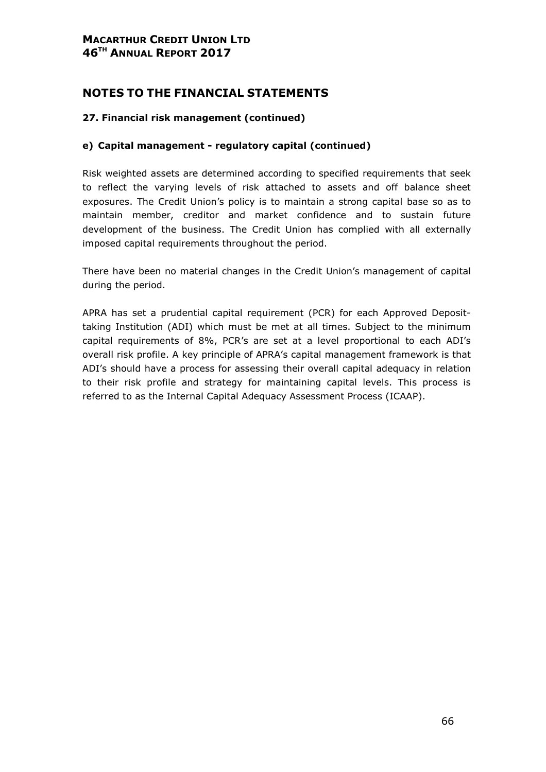# NOTES TO THE FINANCIAL STATEMENTS

#### 27. Financial risk management (continued)

#### e) Capital management - regulatory capital (continued)

Risk weighted assets are determined according to specified requirements that seek to reflect the varying levels of risk attached to assets and off balance sheet exposures. The Credit Union's policy is to maintain a strong capital base so as to maintain member, creditor and market confidence and to sustain future development of the business. The Credit Union has complied with all externally imposed capital requirements throughout the period.

There have been no material changes in the Credit Union's management of capital during the period.

APRA has set a prudential capital requirement (PCR) for each Approved Deposittaking Institution (ADI) which must be met at all times. Subject to the minimum capital requirements of 8%, PCR's are set at a level proportional to each ADI's overall risk profile. A key principle of APRA's capital management framework is that ADI's should have a process for assessing their overall capital adequacy in relation to their risk profile and strategy for maintaining capital levels. This process is referred to as the Internal Capital Adequacy Assessment Process (ICAAP).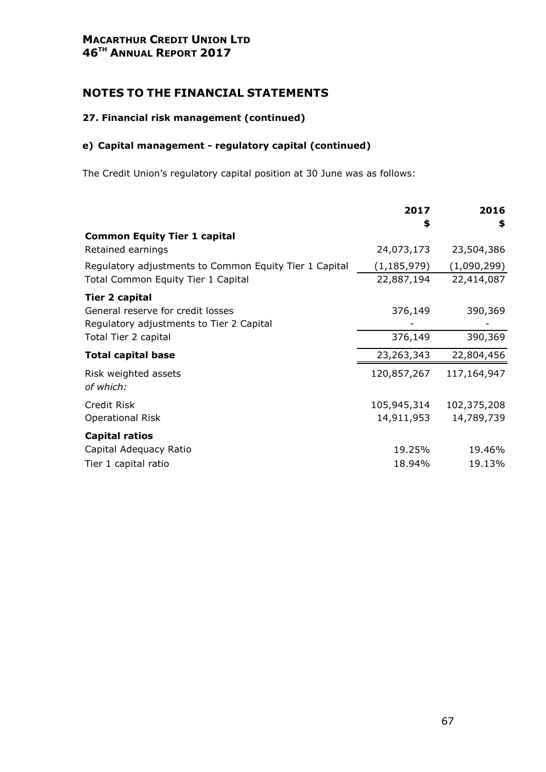## MACARTHUR CREDIT UNION LTD 46<sup>TH</sup> ANNUAL REPORT 2017

# NOTES TO THE FINANCIAL STATEMENTS

#### 27. Financial risk management (continued)

# e) Capital management - regulatory capital (continued)

The Credit Union's regulatory capital position at 30 June was as follows:

| 2017          | 2016             |
|---------------|------------------|
|               | \$               |
|               |                  |
|               | 23,504,386       |
| (1, 185, 979) | (1,090,299)      |
| 22,887,194    | 22,414,087       |
|               |                  |
| 376,149       | 390,369          |
|               |                  |
| 376,149       | 390,369          |
| 23,263,343    | 22,804,456       |
| 120,857,267   | 117,164,947      |
|               |                  |
| 105,945,314   | 102,375,208      |
| 14,911,953    | 14,789,739       |
|               |                  |
| 19.25%        | 19.46%           |
| 18.94%        | 19.13%           |
|               | \$<br>24,073,173 |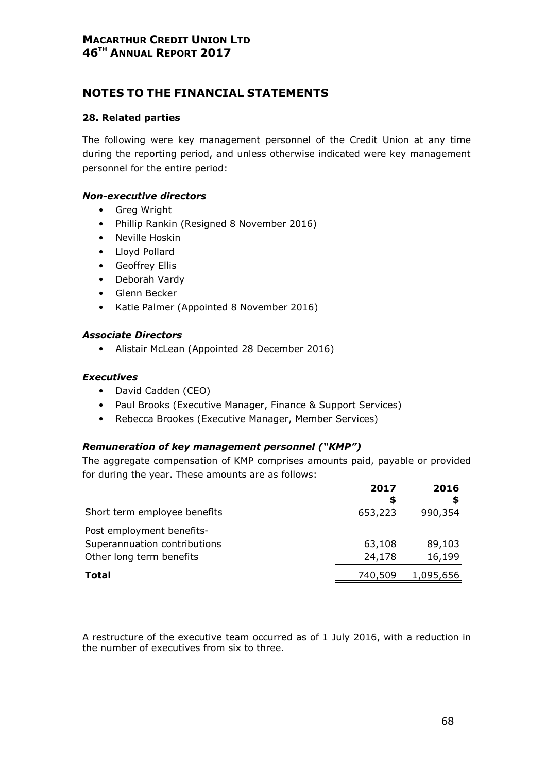# NOTES TO THE FINANCIAL STATEMENTS

#### 28. Related parties

The following were key management personnel of the Credit Union at any time during the reporting period, and unless otherwise indicated were key management personnel for the entire period:

#### Non-executive directors

- Greg Wright
- Phillip Rankin (Resigned 8 November 2016)
- Neville Hoskin
- Lloyd Pollard
- Geoffrey Ellis
- Deborah Vardy
- Glenn Becker
- Katie Palmer (Appointed 8 November 2016)

#### Associate Directors

• Alistair McLean (Appointed 28 December 2016)

#### Executives

- David Cadden (CEO)
- Paul Brooks (Executive Manager, Finance & Support Services)
- Rebecca Brookes (Executive Manager, Member Services)

#### Remuneration of key management personnel ("KMP")

The aggregate compensation of KMP comprises amounts paid, payable or provided for during the year. These amounts are as follows:

|                              | 2017<br>S | 2016      |
|------------------------------|-----------|-----------|
| Short term employee benefits | 653,223   | 990,354   |
| Post employment benefits-    |           |           |
| Superannuation contributions | 63,108    | 89,103    |
| Other long term benefits     | 24,178    | 16,199    |
| Total                        | 740,509   | 1,095,656 |
|                              |           |           |

A restructure of the executive team occurred as of 1 July 2016, with a reduction in the number of executives from six to three.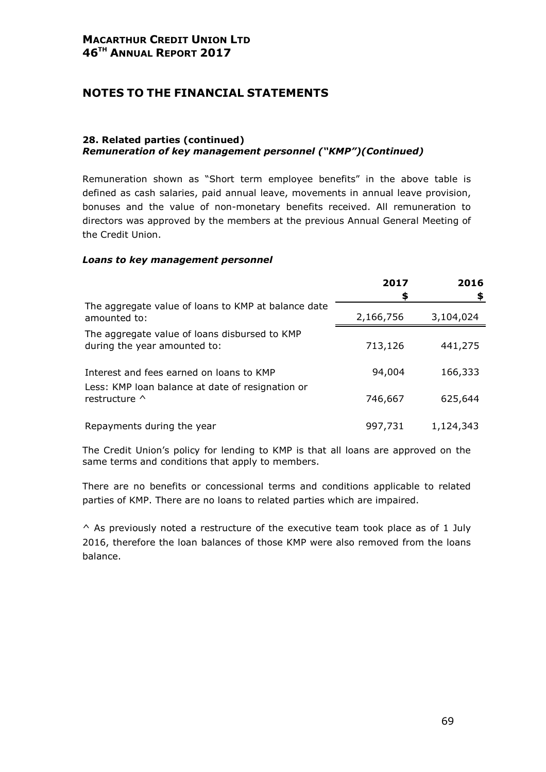# NOTES TO THE FINANCIAL STATEMENTS

#### 28. Related parties (continued) Remuneration of key management personnel ("KMP")(Continued)

Remuneration shown as "Short term employee benefits" in the above table is defined as cash salaries, paid annual leave, movements in annual leave provision, bonuses and the value of non-monetary benefits received. All remuneration to directors was approved by the members at the previous Annual General Meeting of the Credit Union.

#### Loans to key management personnel

|                                                                               | 2017<br>\$ | 2016<br>\$ |
|-------------------------------------------------------------------------------|------------|------------|
| The aggregate value of loans to KMP at balance date<br>amounted to:           | 2,166,756  | 3,104,024  |
| The aggregate value of loans disbursed to KMP<br>during the year amounted to: | 713,126    | 441,275    |
| Interest and fees earned on loans to KMP                                      | 94,004     | 166,333    |
| Less: KMP loan balance at date of resignation or<br>restructure ^             | 746,667    | 625,644    |
| Repayments during the year                                                    | 997,731    | 1,124,343  |

The Credit Union's policy for lending to KMP is that all loans are approved on the same terms and conditions that apply to members.

There are no benefits or concessional terms and conditions applicable to related parties of KMP. There are no loans to related parties which are impaired.

 $\land$  As previously noted a restructure of the executive team took place as of 1 July 2016, therefore the loan balances of those KMP were also removed from the loans balance.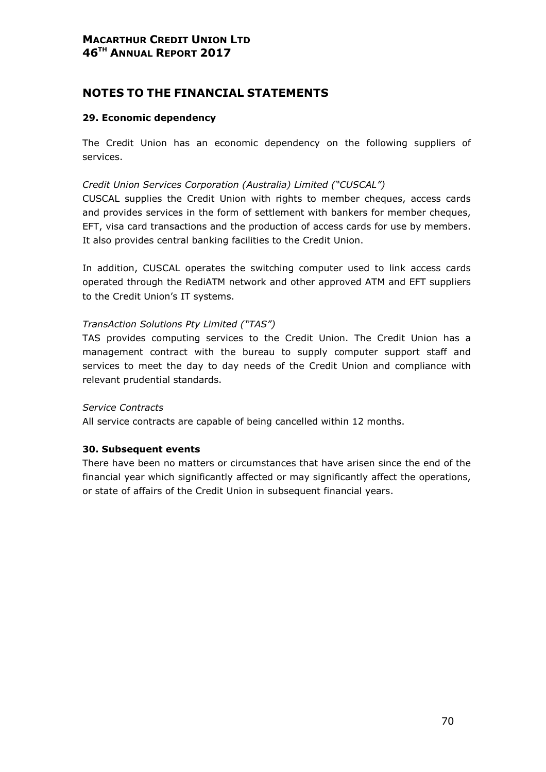# NOTES TO THE FINANCIAL STATEMENTS

#### 29. Economic dependency

The Credit Union has an economic dependency on the following suppliers of services.

#### Credit Union Services Corporation (Australia) Limited ("CUSCAL")

CUSCAL supplies the Credit Union with rights to member cheques, access cards and provides services in the form of settlement with bankers for member cheques, EFT, visa card transactions and the production of access cards for use by members. It also provides central banking facilities to the Credit Union.

In addition, CUSCAL operates the switching computer used to link access cards operated through the RediATM network and other approved ATM and EFT suppliers to the Credit Union's IT systems.

#### TransAction Solutions Pty Limited ("TAS")

TAS provides computing services to the Credit Union. The Credit Union has a management contract with the bureau to supply computer support staff and services to meet the day to day needs of the Credit Union and compliance with relevant prudential standards.

#### Service Contracts

All service contracts are capable of being cancelled within 12 months.

#### 30. Subsequent events

There have been no matters or circumstances that have arisen since the end of the financial year which significantly affected or may significantly affect the operations, or state of affairs of the Credit Union in subsequent financial years.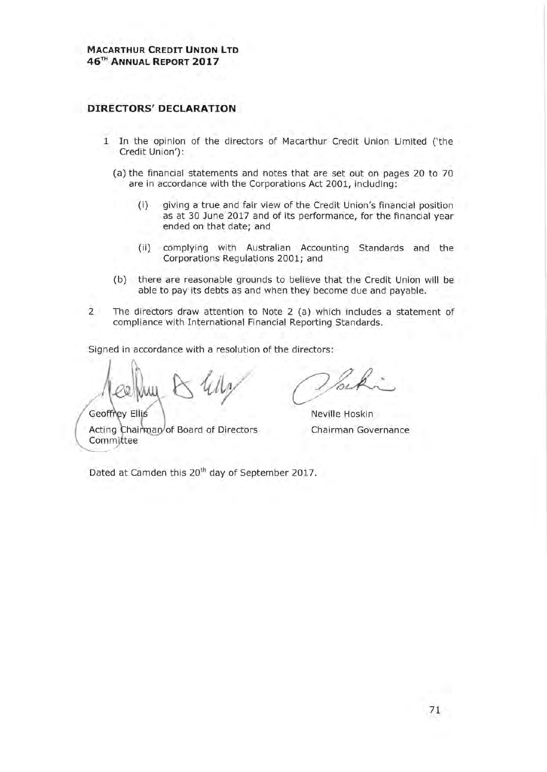#### **DIRECTORS' DECLARATION**

- 1 In the opinion of the directors of Macarthur Credit Union Limited ('the Credit Union'):
	- (a) the financial statements and notes that are set out on pages 20 to 70 are in accordance with the Corporations Act 2001, including:
		- giving a true and fair view of the Credit Union's financial position  $(i)$ as at 30 June 2017 and of its performance, for the financial year ended on that date; and
		- (ii) complying with Australian Accounting Standards and the Corporations Regulations 2001; and
	- (b) there are reasonable grounds to believe that the Credit Union will be able to pay its debts as and when they become due and payable.
- $\overline{2}$ The directors draw attention to Note 2 (a) which includes a statement of compliance with International Financial Reporting Standards.

Signed in accordance with a resolution of the directors:

Geoffrey Ellis Acting Chairman of Board of Directors Committee

Neville Hoskin Chairman Governance

Dated at Camden this 20<sup>th</sup> day of September 2017.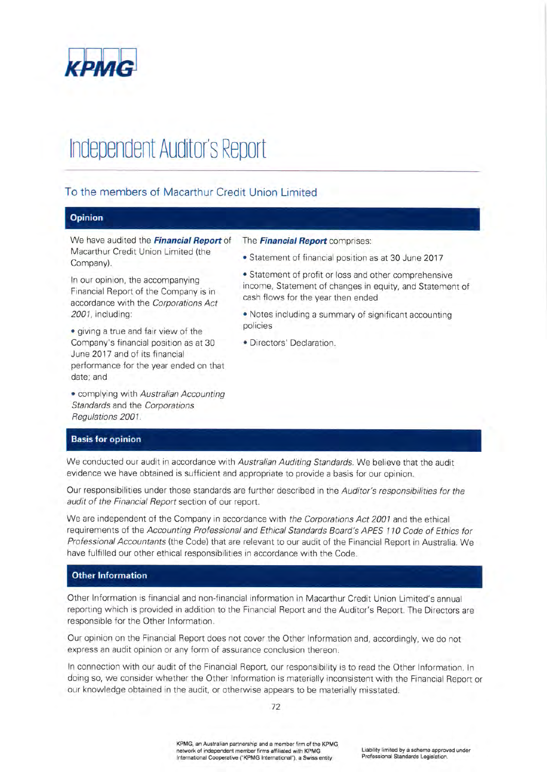

# **Independent Auditor's Report**

#### To the members of Macarthur Credit Union Limited

#### Opinion

We have audited the Financial Report of Macarthur Credit Union Limited (the Company).

In our opinion, the accompanying Financial Report of the Company is in accordance with the Corporations Act 2001, including:

· giving a true and fair view of the Company's financial position as at 30 June 2017 and of its financial performance for the year ended on that date; and

• complying with Australian Accounting Standards and the Corporations Regulations 2001.

#### The Financial Report comprises:

- Statement of financial position as at 30 June 2017
- Statement of profit or loss and other comprehensive income, Statement of changes in equity, and Statement of cash flows for the year then ended
- Notes including a summary of significant accounting policies
- · Directors' Declaration.

#### **Basis for opinion**

We conducted our audit in accordance with Australian Auditing Standards. We believe that the audit evidence we have obtained is sufficient and appropriate to provide a basis for our opinion.

Our responsibilities under those standards are further described in the Auditor's responsibilities for the audit of the Financial Report section of our report.

We are independent of the Company in accordance with the Corporations Act 2001 and the ethical requirements of the Accounting Professional and Ethical Standards Board's APES 110 Code of Ethics for Professional Accountants (the Code) that are relevant to our audit of the Financial Report in Australia. We have fulfilled our other ethical responsibilities in accordance with the Code.

#### **Other Information**

Other Information is financial and non-financial information in Macarthur Credit Union Limited's annual reporting which is provided in addition to the Financial Report and the Auditor's Report. The Directors are responsible for the Other Information.

Our opinion on the Financial Report does not cover the Other Information and, accordingly, we do not express an audit opinion or any form of assurance conclusion thereon.

In connection with our audit of the Financial Report, our responsibility is to read the Other Information. In doing so, we consider whether the Other Information is materially inconsistent with the Financial Report or our knowledge obtained in the audit, or otherwise appears to be materially misstated.

KPMG, an Australian partnership and a member firm of the KPMG network of independent member firms affiliated with KPMG International Cooperative ("KPMG International"), a Swiss entity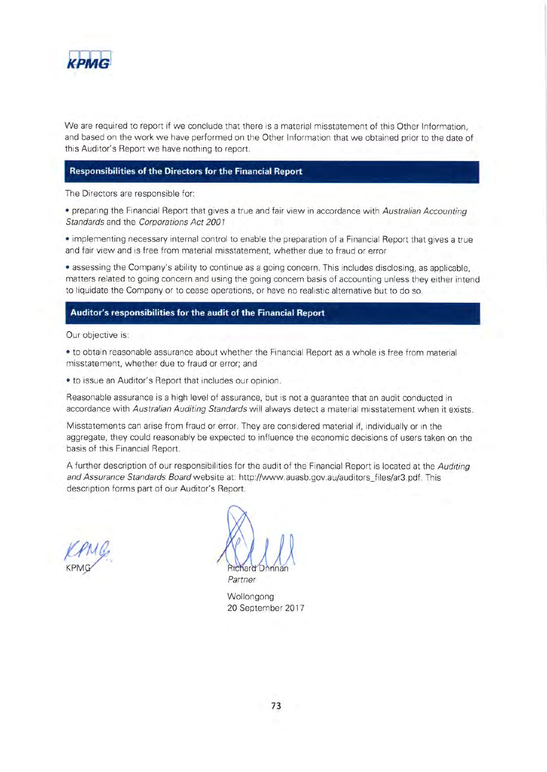

We are required to report if we conclude that there is a material misstatement of this Other Information. and based on the work we have performed on the Other Information that we obtained prior to the date of this Auditor's Report we have nothing to report.

## **Responsibilities of the Directors for the Financial Report**

The Directors are responsible for:

. preparing the Financial Report that gives a true and fair view in accordance with Australian Accounting Standards and the Corporations Act 2001

. implementing necessary internal control to enable the preparation of a Financial Report that gives a true and fair view and is free from material misstatement, whether due to fraud or error

• assessing the Company's ability to continue as a going concern. This includes disclosing, as applicable, matters related to going concern and using the going concern basis of accounting unless they either intend to liquidate the Company or to cease operations, or have no realistic alternative but to do so.

## Auditor's responsibilities for the audit of the Financial Report

Our objective is:

• to obtain reasonable assurance about whether the Financial Report as a whole is free from material misstatement, whether due to fraud or error; and

· to issue an Auditor's Report that includes our opinion.

Reasonable assurance is a high level of assurance, but is not a guarantee that an audit conducted in accordance with Australian Auditing Standards will always detect a material misstatement when it exists.

Misstatements can arise from fraud or error. They are considered material if, individually or in the aggregate, they could reasonably be expected to influence the economic decisions of users taken on the basis of this Financial Report.

A further description of our responsibilities for the audit of the Financial Report is located at the Auditing and Assurance Standards Board website at: http://www.auasb.gov.au/auditors\_files/ar3.pdf. This description forms part of our Auditor's Report.

Partner

Wollongong 20 September 2017